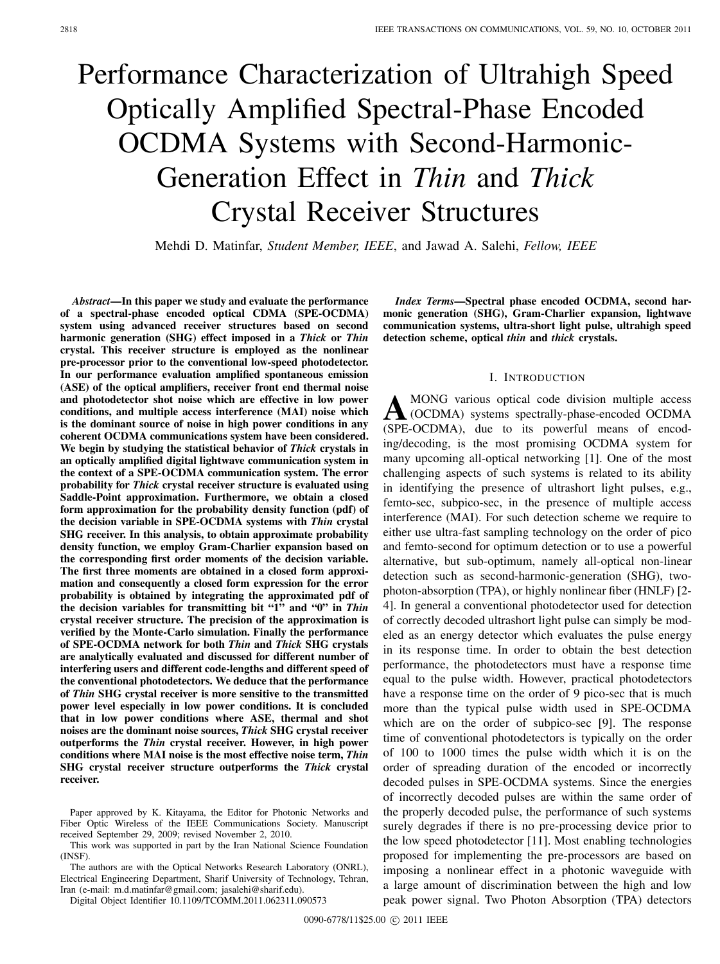# Performance Characterization of Ultrahigh Speed Optically Amplified Spectral-Phase Encoded OCDMA Systems with Second-Harmonic-Generation Effect in *Thin* and *Thick* Crystal Receiver Structures

Mehdi D. Matinfar, *Student Member, IEEE*, and Jawad A. Salehi, *Fellow, IEEE*

*Abstract***—In this paper we study and evaluate the performance of a spectral-phase encoded optical CDMA (SPE-OCDMA) system using advanced receiver structures based on second harmonic generation (SHG) effect imposed in a** *Thick* **or** *Thin* **crystal. This receiver structure is employed as the nonlinear pre-processor prior to the conventional low-speed photodetector. In our performance evaluation amplified spontaneous emission (ASE) of the optical amplifiers, receiver front end thermal noise and photodetector shot noise which are effective in low power conditions, and multiple access interference (MAI) noise which is the dominant source of noise in high power conditions in any coherent OCDMA communications system have been considered. We begin by studying the statistical behavior of** *Thick* **crystals in an optically amplified digital lightwave communication system in the context of a SPE-OCDMA communication system. The error probability for** *Thick* **crystal receiver structure is evaluated using Saddle-Point approximation. Furthermore, we obtain a closed form approximation for the probability density function (pdf) of the decision variable in SPE-OCDMA systems with** *Thin* **crystal SHG receiver. In this analysis, to obtain approximate probability density function, we employ Gram-Charlier expansion based on the corresponding first order moments of the decision variable. The first three moments are obtained in a closed form approximation and consequently a closed form expression for the error probability is obtained by integrating the approximated pdf of the decision variables for transmitting bit "1" and "0" in** *Thin* **crystal receiver structure. The precision of the approximation is verified by the Monte-Carlo simulation. Finally the performance of SPE-OCDMA network for both** *Thin* **and** *Thick* **SHG crystals are analytically evaluated and discussed for different number of interfering users and different code-lengths and different speed of the conventional photodetectors. We deduce that the performance of** *Thin* **SHG crystal receiver is more sensitive to the transmitted power level especially in low power conditions. It is concluded that in low power conditions where ASE, thermal and shot noises are the dominant noise sources,** *Thick* **SHG crystal receiver outperforms the** *Thin* **crystal receiver. However, in high power conditions where MAI noise is the most effective noise term,** *Thin* **SHG crystal receiver structure outperforms the** *Thick* **crystal receiver.**

Paper approved by K. Kitayama, the Editor for Photonic Networks and Fiber Optic Wireless of the IEEE Communications Society. Manuscript received September 29, 2009; revised November 2, 2010.

This work was supported in part by the Iran National Science Foundation (INSF).

The authors are with the Optical Networks Research Laboratory (ONRL), Electrical Engineering Department, Sharif University of Technology, Tehran, Iran (e-mail: m.d.matinfar@gmail.com; jasalehi@sharif.edu).

Digital Object Identifier 10.1109/TCOMM.2011.062311.090573

*Index Terms***—Spectral phase encoded OCDMA, second harmonic generation (SHG), Gram-Charlier expansion, lightwave communication systems, ultra-short light pulse, ultrahigh speed detection scheme, optical** *thin* **and** *thick* **crystals.**

# I. INTRODUCTION

**A** MONG various optical code division multiple access<br>(OCDMA) systems spectrally-phase-encoded OCDMA (SPE-OCDMA), due to its powerful means of encoding/decoding, is the most promising OCDMA system for many upcoming all-optical networking [1]. One of the most challenging aspects of such systems is related to its ability in identifying the presence of ultrashort light pulses, e.g., femto-sec, subpico-sec, in the presence of multiple access interference (MAI). For such detection scheme we require to either use ultra-fast sampling technology on the order of pico and femto-second for optimum detection or to use a powerful alternative, but sub-optimum, namely all-optical non-linear detection such as second-harmonic-generation (SHG), twophoton-absorption (TPA), or highly nonlinear fiber (HNLF) [2- 4]. In general a conventional photodetector used for detection of correctly decoded ultrashort light pulse can simply be modeled as an energy detector which evaluates the pulse energy in its response time. In order to obtain the best detection performance, the photodetectors must have a response time equal to the pulse width. However, practical photodetectors have a response time on the order of 9 pico-sec that is much more than the typical pulse width used in SPE-OCDMA which are on the order of subpico-sec [9]. The response time of conventional photodetectors is typically on the order of 100 to 1000 times the pulse width which it is on the order of spreading duration of the encoded or incorrectly decoded pulses in SPE-OCDMA systems. Since the energies of incorrectly decoded pulses are within the same order of the properly decoded pulse, the performance of such systems surely degrades if there is no pre-processing device prior to the low speed photodetector [11]. Most enabling technologies proposed for implementing the pre-processors are based on imposing a nonlinear effect in a photonic waveguide with a large amount of discrimination between the high and low peak power signal. Two Photon Absorption (TPA) detectors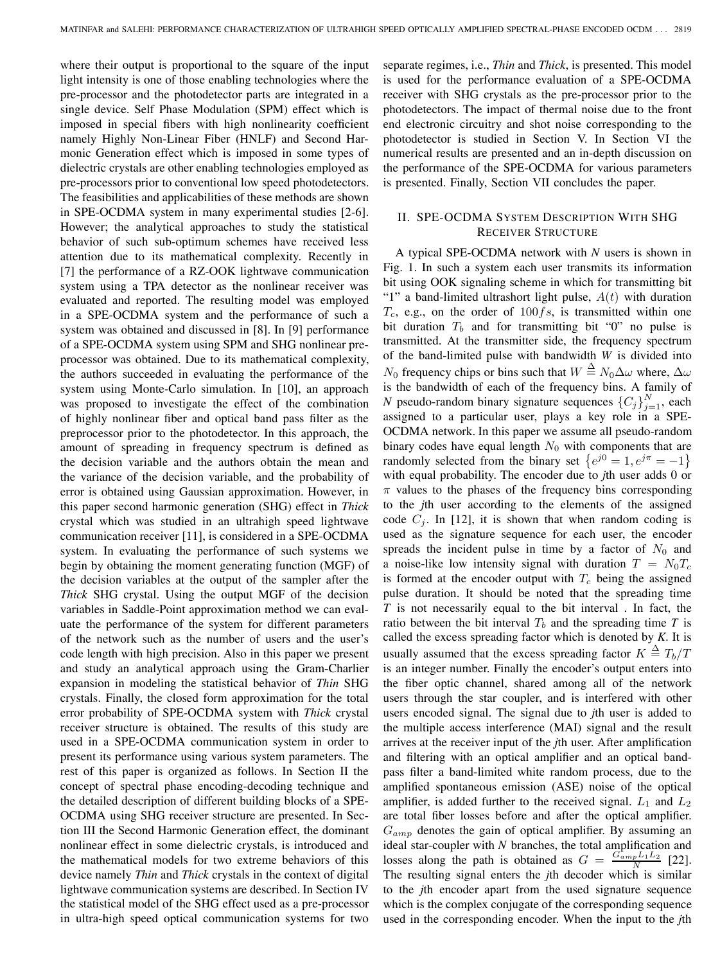where their output is proportional to the square of the input light intensity is one of those enabling technologies where the pre-processor and the photodetector parts are integrated in a single device. Self Phase Modulation (SPM) effect which is imposed in special fibers with high nonlinearity coefficient namely Highly Non-Linear Fiber (HNLF) and Second Harmonic Generation effect which is imposed in some types of dielectric crystals are other enabling technologies employed as pre-processors prior to conventional low speed photodetectors. The feasibilities and applicabilities of these methods are shown in SPE-OCDMA system in many experimental studies [2-6]. However; the analytical approaches to study the statistical behavior of such sub-optimum schemes have received less attention due to its mathematical complexity. Recently in [7] the performance of a RZ-OOK lightwave communication system using a TPA detector as the nonlinear receiver was evaluated and reported. The resulting model was employed in a SPE-OCDMA system and the performance of such a system was obtained and discussed in [8]. In [9] performance of a SPE-OCDMA system using SPM and SHG nonlinear preprocessor was obtained. Due to its mathematical complexity, the authors succeeded in evaluating the performance of the system using Monte-Carlo simulation. In [10], an approach was proposed to investigate the effect of the combination of highly nonlinear fiber and optical band pass filter as the preprocessor prior to the photodetector. In this approach, the amount of spreading in frequency spectrum is defined as the decision variable and the authors obtain the mean and the variance of the decision variable, and the probability of error is obtained using Gaussian approximation. However, in this paper second harmonic generation (SHG) effect in *Thick* crystal which was studied in an ultrahigh speed lightwave communication receiver [11], is considered in a SPE-OCDMA system. In evaluating the performance of such systems we begin by obtaining the moment generating function (MGF) of the decision variables at the output of the sampler after the *Thick* SHG crystal. Using the output MGF of the decision variables in Saddle-Point approximation method we can evaluate the performance of the system for different parameters of the network such as the number of users and the user's code length with high precision. Also in this paper we present and study an analytical approach using the Gram-Charlier expansion in modeling the statistical behavior of *Thin* SHG crystals. Finally, the closed form approximation for the total error probability of SPE-OCDMA system with *Thick* crystal receiver structure is obtained. The results of this study are used in a SPE-OCDMA communication system in order to present its performance using various system parameters. The rest of this paper is organized as follows. In Section II the concept of spectral phase encoding-decoding technique and the detailed description of different building blocks of a SPE-OCDMA using SHG receiver structure are presented. In Section III the Second Harmonic Generation effect, the dominant nonlinear effect in some dielectric crystals, is introduced and the mathematical models for two extreme behaviors of this device namely *Thin* and *Thick* crystals in the context of digital lightwave communication systems are described. In Section IV the statistical model of the SHG effect used as a pre-processor in ultra-high speed optical communication systems for two

separate regimes, i.e., *Thin* and *Thick*, is presented. This model is used for the performance evaluation of a SPE-OCDMA receiver with SHG crystals as the pre-processor prior to the photodetectors. The impact of thermal noise due to the front end electronic circuitry and shot noise corresponding to the photodetector is studied in Section V. In Section VI the numerical results are presented and an in-depth discussion on the performance of the SPE-OCDMA for various parameters is presented. Finally, Section VII concludes the paper.

# II. SPE-OCDMA SYSTEM DESCRIPTION WITH SHG RECEIVER STRUCTURE

A typical SPE-OCDMA network with *N* users is shown in Fig. 1. In such a system each user transmits its information bit using OOK signaling scheme in which for transmitting bit "1" a band-limited ultrashort light pulse,  $A(t)$  with duration  $T_c$ , e.g., on the order of  $100fs$ , is transmitted within one bit duration  $T_b$  and for transmitting bit "0" no pulse is transmitted. At the transmitter side, the frequency spectrum of the band-limited pulse with bandwidth *W* is divided into  $N_0$  frequency chips or bins such that  $W \stackrel{\Delta}{=} N_0 \Delta \omega$  where,  $\Delta \omega$ is the bandwidth of each of the frequency bins. A family of *N* pseudo-random binary signature sequences  ${C_j}_{j=1}^N$ , each assigned to a particular user, plays a key role in a SPE-OCDMA network. In this paper we assume all pseudo-random binary codes have equal length  $N_0$  with components that are randomly selected from the binary set  $\{e^{j0} = 1, e^{j\pi} = -1\}$ with equal probability. The encoder due to *j*th user adds 0 or  $\pi$  values to the phases of the frequency bins corresponding to the *j*th user according to the elements of the assigned code  $C_i$ . In [12], it is shown that when random coding is used as the signature sequence for each user, the encoder spreads the incident pulse in time by a factor of  $N_0$  and a noise-like low intensity signal with duration  $T = N_0 T_c$ is formed at the encoder output with  $T_c$  being the assigned pulse duration. It should be noted that the spreading time *T* is not necessarily equal to the bit interval . In fact, the ratio between the bit interval  $T_b$  and the spreading time  $T$  is called the excess spreading factor which is denoted by *K*. It is usually assumed that the excess spreading factor  $K \stackrel{\Delta}{=} T_b/T$ is an integer number. Finally the encoder's output enters into the fiber optic channel, shared among all of the network users through the star coupler, and is interfered with other users encoded signal. The signal due to *j*th user is added to the multiple access interference (MAI) signal and the result arrives at the receiver input of the *j*th user. After amplification and filtering with an optical amplifier and an optical bandpass filter a band-limited white random process, due to the amplified spontaneous emission (ASE) noise of the optical amplifier, is added further to the received signal.  $L_1$  and  $L_2$ are total fiber losses before and after the optical amplifier.  $G_{amp}$  denotes the gain of optical amplifier. By assuming an ideal star-coupler with *N* branches, the total amplification and losses along the path is obtained as  $G = \frac{G_{amp}L_1L_2}{N}$  [22]. The resulting signal enters the *j*th decoder which is similar to the *j*th encoder apart from the used signature sequence which is the complex conjugate of the corresponding sequence used in the corresponding encoder. When the input to the *j*th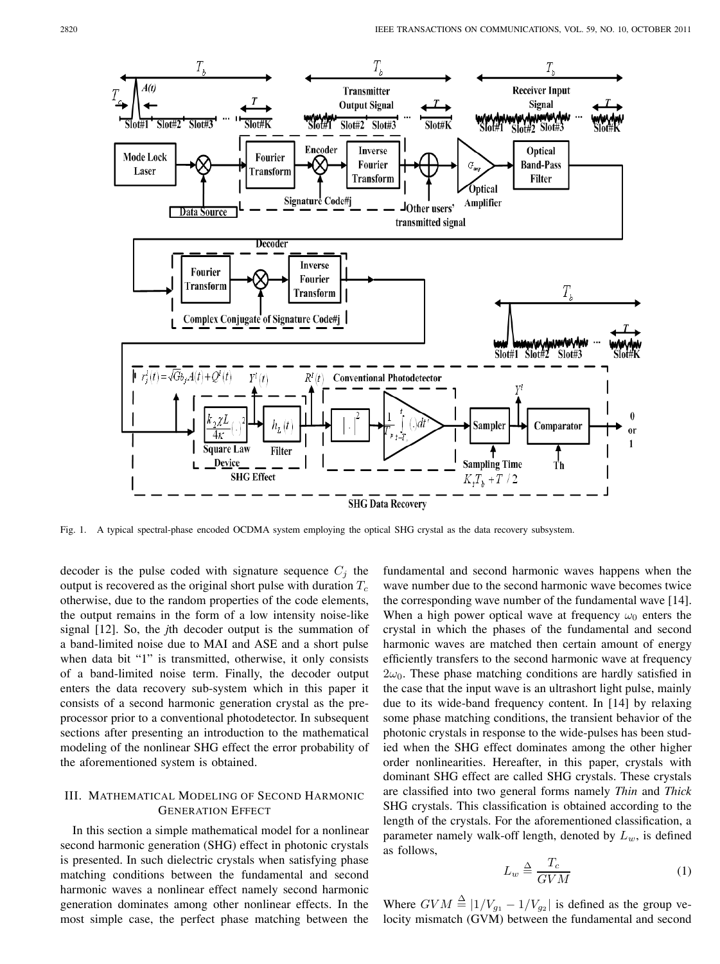

Fig. 1. A typical spectral-phase encoded OCDMA system employing the optical SHG crystal as the data recovery subsystem.

decoder is the pulse coded with signature sequence  $C_j$  the output is recovered as the original short pulse with duration  $T_c$ otherwise, due to the random properties of the code elements, the output remains in the form of a low intensity noise-like signal [12]. So, the *j*th decoder output is the summation of a band-limited noise due to MAI and ASE and a short pulse when data bit "1" is transmitted, otherwise, it only consists of a band-limited noise term. Finally, the decoder output enters the data recovery sub-system which in this paper it consists of a second harmonic generation crystal as the preprocessor prior to a conventional photodetector. In subsequent sections after presenting an introduction to the mathematical modeling of the nonlinear SHG effect the error probability of the aforementioned system is obtained.

# III. MATHEMATICAL MODELING OF SECOND HARMONIC GENERATION EFFECT

In this section a simple mathematical model for a nonlinear second harmonic generation (SHG) effect in photonic crystals is presented. In such dielectric crystals when satisfying phase matching conditions between the fundamental and second harmonic waves a nonlinear effect namely second harmonic generation dominates among other nonlinear effects. In the most simple case, the perfect phase matching between the

fundamental and second harmonic waves happens when the wave number due to the second harmonic wave becomes twice the corresponding wave number of the fundamental wave [14]. When a high power optical wave at frequency  $\omega_0$  enters the crystal in which the phases of the fundamental and second harmonic waves are matched then certain amount of energy efficiently transfers to the second harmonic wave at frequency  $2\omega_0$ . These phase matching conditions are hardly satisfied in the case that the input wave is an ultrashort light pulse, mainly due to its wide-band frequency content. In [14] by relaxing some phase matching conditions, the transient behavior of the photonic crystals in response to the wide-pulses has been studied when the SHG effect dominates among the other higher order nonlinearities. Hereafter, in this paper, crystals with dominant SHG effect are called SHG crystals. These crystals are classified into two general forms namely *Thin* and *Thick* SHG crystals. This classification is obtained according to the length of the crystals. For the aforementioned classification, a parameter namely walk-off length, denoted by  $L_w$ , is defined as follows,

$$
L_w \stackrel{\Delta}{=} \frac{T_c}{GVM} \tag{1}
$$

Where  $GVM \triangleq |1/V_{g_1} - 1/V_{g_2}|$  is defined as the group velocity mismatch (GVM) between the fundamental and second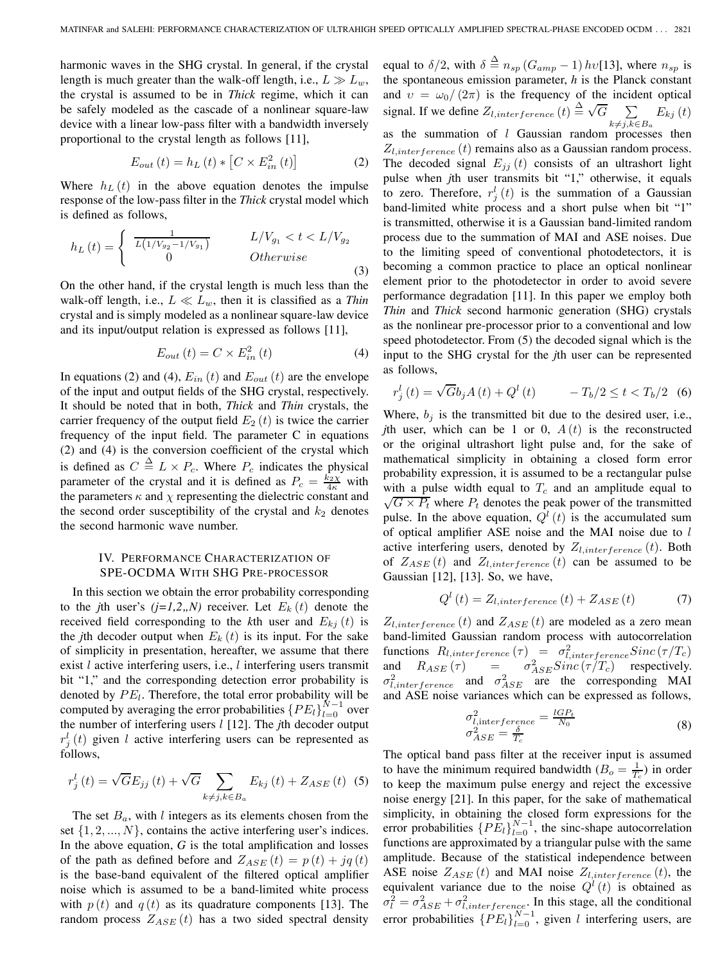harmonic waves in the SHG crystal. In general, if the crystal length is much greater than the walk-off length, i.e.,  $L \gg L_w$ , the crystal is assumed to be in *Thick* regime, which it can be safely modeled as the cascade of a nonlinear square-law device with a linear low-pass filter with a bandwidth inversely proportional to the crystal length as follows [11],

$$
E_{out}(t) = h_L(t) * [C \times E_{in}^2(t)] \qquad (2)
$$

Where  $h_L(t)$  in the above equation denotes the impulse response of the low-pass filter in the *Thick* crystal model which is defined as follows,

$$
h_L(t) = \begin{cases} \frac{1}{L(1/V_{g_2} - 1/V_{g_1})} & L/V_{g_1} < t < L/V_{g_2} \\ 0 & Otherwise \end{cases}
$$
 (3)

On the other hand, if the crystal length is much less than the walk-off length, i.e.,  $L \ll L_w$ , then it is classified as a *Thin* crystal and is simply modeled as a nonlinear square-law device and its input/output relation is expressed as follows [11],

$$
E_{out}(t) = C \times E_{in}^{2}(t)
$$
\n(4)

In equations (2) and (4),  $E_{in}$  (t) and  $E_{out}$  (t) are the envelope of the input and output fields of the SHG crystal, respectively. It should be noted that in both, *Thick* and *Thin* crystals, the carrier frequency of the output field  $E_2(t)$  is twice the carrier frequency of the input field. The parameter C in equations (2) and (4) is the conversion coefficient of the crystal which is defined as  $C \triangleq L \times P_c$ . Where  $P_c$  indicates the physical parameter of the crystal and it is defined as  $P_c = \frac{k_{2} \chi}{4\kappa}$  with the parameters  $\kappa$  and  $\chi$  representing the dielectric constant and the second order susceptibility of the crystal and  $k_2$  denotes the second harmonic wave number.

# IV. PERFORMANCE CHARACTERIZATION OF SPE-OCDMA WITH SHG PRE-PROCESSOR

In this section we obtain the error probability corresponding to the *j*th user's  $(j=1,2,N)$  receiver. Let  $E_k(t)$  denote the received field corresponding to the *k*th user and  $E_{kj}(t)$  is the *j*th decoder output when  $E_k(t)$  is its input. For the sake of simplicity in presentation, hereafter, we assume that there exist  $l$  active interfering users, i.e.,  $l$  interfering users transmit bit "1," and the corresponding detection error probability is denoted by  $PE_l$ . Therefore, the total error probability will be computed by averaging the error probabilities  ${P E_l}_{l=0}^{N-1}$  over the number of interfering users *l* [12]. The *j*th decoder output  $r_j^l(t)$  given l active interfering users can be represented as follows,

$$
r_j^l(t) = \sqrt{G}E_{jj}(t) + \sqrt{G}\sum_{k \neq j, k \in B_a} E_{kj}(t) + Z_{ASE}(t)
$$
 (5)

The set  $B_a$ , with *l* integers as its elements chosen from the set  $\{1, 2, ..., N\}$ , contains the active interfering user's indices. In the above equation, *G* is the total amplification and losses of the path as defined before and  $Z_{ASE}(t) = p(t) + jq(t)$ is the base-band equivalent of the filtered optical amplifier noise which is assumed to be a band-limited white process with  $p(t)$  and  $q(t)$  as its quadrature components [13]. The random process  $Z_{ASE}(t)$  has a two sided spectral density

equal to  $\delta/2$ , with  $\delta \stackrel{\Delta}{=} n_{sp} (G_{amp} - 1) h\upsilon[13]$ , where  $n_{sp}$  is the spontaneous emission parameter, *h* is the Planck constant and  $v = \omega_0/(2\pi)$  is the frequency of the incident optical signal. If we define  $Z_{l,interference}(t) \triangleq \sqrt{G} \sum$  $k\neq j, k\in B_a$  $E_{kj}(t)$ 

as the summation of  $l$  Gaussian random processes then  $Z_{l,interference}$  (*t*) remains also as a Gaussian random process. The decoded signal  $E_{ij}(t)$  consists of an ultrashort light pulse when *j*th user transmits bit "1," otherwise, it equals to zero. Therefore,  $r_j^l(t)$  is the summation of a Gaussian band-limited white process and a short pulse when bit "1" is transmitted, otherwise it is a Gaussian band-limited random process due to the summation of MAI and ASE noises. Due to the limiting speed of conventional photodetectors, it is becoming a common practice to place an optical nonlinear element prior to the photodetector in order to avoid severe performance degradation [11]. In this paper we employ both *Thin* and *Thick* second harmonic generation (SHG) crystals as the nonlinear pre-processor prior to a conventional and low speed photodetector. From (5) the decoded signal which is the input to the SHG crystal for the *j*th user can be represented as follows,

$$
r_j^l(t) = \sqrt{G}b_j A(t) + Q^l(t) \qquad -T_b/2 \le t < T_b/2 \quad (6)
$$

Where,  $b_j$  is the transmitted bit due to the desired user, i.e., *j*th user, which can be 1 or 0,  $A(t)$  is the reconstructed or the original ultrashort light pulse and, for the sake of mathematical simplicity in obtaining a closed form error probability expression, it is assumed to be a rectangular pulse with a pulse width equal to  $T_c$  and an amplitude equal to  $\sqrt{G \times P_t}$  where  $P_t$  denotes the peak power of the transmitted pulse. In the above equation,  $Q^{l}(t)$  is the accumulated sum of optical amplifier ASE noise and the MAI noise due to  $l$ active interfering users, denoted by  $Z_{l,interference}(t)$ . Both of  $Z_{ASE}(t)$  and  $Z_{l,interference}(t)$  can be assumed to be Gaussian [12], [13]. So, we have,

$$
Q^{l}(t) = Z_{l,interference}(t) + Z_{ASE}(t)
$$
 (7)

 $Z_{l,interference}(t)$  and  $Z_{ASE}(t)$  are modeled as a zero mean band-limited Gaussian random process with autocorrelation functions  $R_{l, interference}(\tau) = \sigma_{l, interference}^2 Sinc(\tau/T_c)$ and  $R_{ASE}(\tau) = \sigma_{ASE}^2 Sinc(\tau/T_c)$  respectively.  $\sigma_{l,interference}^2$  and  $\sigma_{ASE}^2$  are the corresponding MAI and ASE noise variances which can be expressed as follows,

$$
\sigma_{l,\text{interference}}^2 = \frac{lGP_t}{N_0}
$$
\n
$$
\sigma_{ASE}^2 = \frac{\delta}{T_c}
$$
\n(8)

The optical band pass filter at the receiver input is assumed to have the minimum required bandwidth  $(B_0 = \frac{1}{T_c})$  in order to keep the maximum pulse energy and reject the excessive noise energy [21]. In this paper, for the sake of mathematical simplicity, in obtaining the closed form expressions for the error probabilities  ${P\widetilde{E}_l}_{l=0}^{N-1}$ , the sinc-shape autocorrelation functions are approximated by a triangular pulse with the same amplitude. Because of the statistical independence between ASE noise  $Z_{ASE}(t)$  and MAI noise  $Z_{l,interference}(t)$ , the equivalent variance due to the noise  $Q^{l}(t)$  is obtained as  $\sigma_l^2 = \sigma_{ASE}^2 + \sigma_{l,interference}^2$ . In this stage, all the conditional error probabilities  $\{PE_l\}_{l=0}^{N-1}$ , given l interfering users, are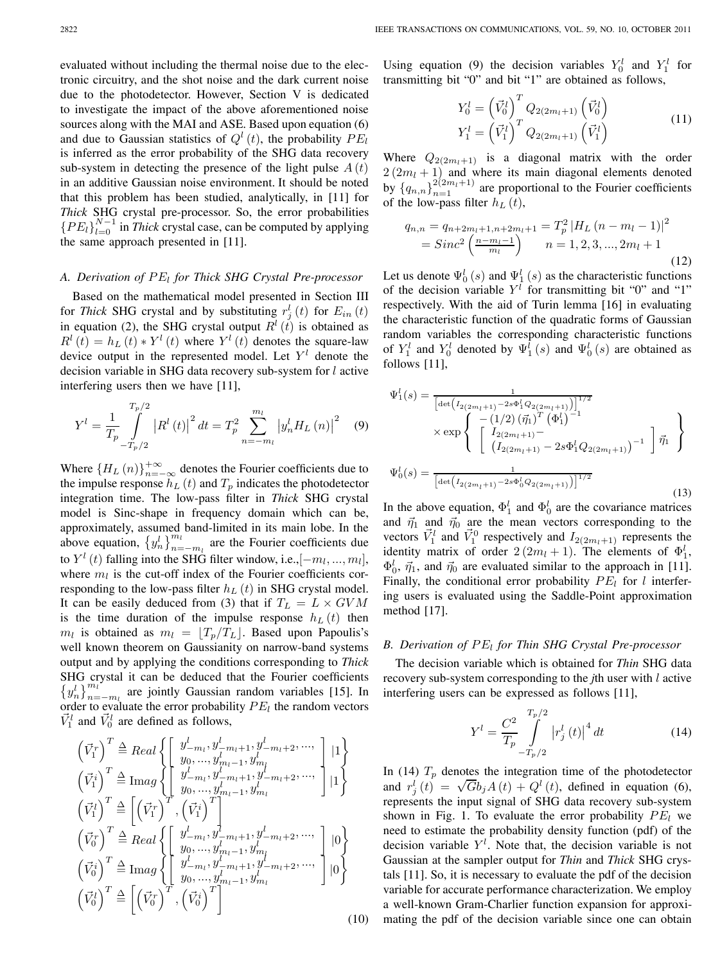evaluated without including the thermal noise due to the electronic circuitry, and the shot noise and the dark current noise due to the photodetector. However, Section V is dedicated to investigate the impact of the above aforementioned noise sources along with the MAI and ASE. Based upon equation (6) and due to Gaussian statistics of  $Q^{l}(t)$ , the probability  $PE_{l}$ is inferred as the error probability of the SHG data recovery sub-system in detecting the presence of the light pulse  $A(t)$ in an additive Gaussian noise environment. It should be noted that this problem has been studied, analytically, in [11] for *Thick* SHG crystal pre-processor. So, the error probabilities  ${P E_l}_{l=0}^{N-1}$  in *Thick* crystal case, can be computed by applying the same approach presented in [11].

# *A. Derivation of for Thick SHG Crystal Pre-processor*

Based on the mathematical model presented in Section III for *Thick* SHG crystal and by substituting  $r_j^l(t)$  for  $E_{in}(t)$ in equation (2), the SHG crystal output  $R^l(t)$  is obtained as  $R^{l}(t) = h_{L}(t) * Y^{l}(t)$  where  $Y^{l}(t)$  denotes the square-law device output in the represented model. Let  $Y<sup>l</sup>$  denote the decision variable in SHG data recovery sub-system for  $l$  active interfering users then we have [11],

$$
Y^{l} = \frac{1}{T_{p}} \int_{-T_{p}/2}^{T_{p}/2} \left| R^{l}(t) \right|^{2} dt = T_{p}^{2} \sum_{n=-m_{l}}^{m_{l}} \left| y_{n}^{l} H_{L}(n) \right|^{2} \quad (9)
$$

Where  ${H_L(n)}_{n=-\infty}^{+\infty}$  denotes the Fourier coefficients due to the impulse response  $h_L(t)$  and  $T_p$  indicates the photodetector integration time. The low-pass filter in *Thick* SHG crystal model is Sinc-shape in frequency domain which can be, approximately, assumed band-limited in its main lobe. In the above equation,  $\{y_n^l\}_{n=-m_l}^{m_l}$  are the Fourier coefficients due to  $Y^l(t)$  falling into the SHG filter window, i.e., $[-m_l, ..., m_l],$ where  $m_l$  is the cut-off index of the Fourier coefficients corresponding to the low-pass filter  $h<sub>L</sub>(t)$  in SHG crystal model. It can be easily deduced from (3) that if  $T_L = L \times GVM$ is the time duration of the impulse response  $h<sub>L</sub>(t)$  then  $m_l$  is obtained as  $m_l = \lfloor T_p/T_L \rfloor$ . Based upon Papoulis's well known theorem on Gaussianity on narrow-band systems output and by applying the conditions corresponding to *Thick* SHG crystal it can be deduced that the Fourier coefficients  ${y_n^l}_{n=-m_l}^{m_l}$  are jointly Gaussian random variables [15]. In order to evaluate the error probability  $PE_l$  the random vectors  $\vec{V}_1^l$  and  $\vec{V}_0^l$  are defined as follows,

$$
\begin{aligned}\n\left(\vec{V}_{1}^{r}\right)^{T} &\triangleq Real\left\{ \begin{bmatrix} y_{-m_{1}}^{l}, y_{-m_{1}+1}^{l}, y_{-m_{1}+2}^{l}, \dots, \\ y_{0}, \dots, y_{m_{l}-1}^{l}, y_{m_{l}}^{l} \\ y_{0}, \dots, y_{m_{l}-1}^{l}, y_{m_{l}}^{l} \\ y_{0}, \dots, y_{m_{l}-1}^{l}, y_{-m_{l}+2}^{l}, \dots, \end{bmatrix} | 1 \right\} \\
\left(\vec{V}_{1}^{i}\right)^{T} &\triangleq \left[ \left(\vec{V}_{1}^{r}\right)^{T}, \left(\vec{V}_{1}^{i}\right)^{T} \right] \\
\left(\vec{V}_{0}^{r}\right)^{T} &\triangleq Real\left\{ \begin{bmatrix} y_{-m_{1}}^{l}, y_{-m_{1}+1}^{l}, y_{-m_{1}+2}^{l}, \dots, \\ y_{0}, \dots, y_{m_{l}-1}^{l}, y_{m_{l}}^{l} \\ y_{0}, \dots, y_{m_{l}-1}^{l}, y_{m_{l}}^{l} \\ y_{0}, \dots, y_{m_{l}-1}^{l}, y_{-m_{l}+2}^{l}, \dots, \end{bmatrix} | 0 \right\} \\
\left(\vec{V}_{0}^{i}\right)^{T} &\triangleq \left[ \left(\vec{V}_{0}^{r}\right)^{T}, \left(\vec{V}_{0}^{i}\right)^{T} \right]^{T} \\
\left(\vec{V}_{0}^{i}\right)^{T} &\triangleq \left[ \left(\vec{V}_{0}^{r}\right)^{T}, \left(\vec{V}_{0}^{i}\right)^{T} \right]^{T}\n\end{aligned} \n\tag{10}
$$

Using equation (9) the decision variables  $Y_0^l$  and  $Y_1^l$  for transmitting bit "0" and bit "1" are obtained as follows,

$$
Y_0^l = (\vec{V}_0^l)^T Q_{2(2m_l+1)} (\vec{V}_0^l)
$$
  
\n
$$
Y_1^l = (\vec{V}_1^l)^T Q_{2(2m_l+1)} (\vec{V}_1^l)
$$
\n(11)

Where  $Q_{2(2m_l+1)}$  is a diagonal matrix with the order  $2(2m_l + 1)$  and where its main diagonal elements denoted by  ${q_{n,n}}_{n=1}^{\binom{2(2m)}{2m}}$  are proportional to the Fourier coefficients of the low-pass filter  $h_L(t)$ ,

$$
q_{n,n} = q_{n+2m_l+1,n+2m_l+1} = T_p^2 |H_L (n - m_l - 1)|^2
$$
  
=  $Sinc^2 \left(\frac{n - m_l - 1}{m_l}\right)$   $n = 1, 2, 3, ..., 2m_l + 1$  (12)

Let us denote  $\Psi_0^l(s)$  and  $\Psi_1^l(s)$  as the characteristic functions of the decision variable  $Y<sup>l</sup>$  for transmitting bit "0" and "1" respectively. With the aid of Turin lemma [16] in evaluating the characteristic function of the quadratic forms of Gaussian random variables the corresponding characteristic functions of  $Y_1^l$  and  $Y_0^l$  denoted by  $\Psi_1^l$  (s) and  $\Psi_0^l$  (s) are obtained as follows [11],

$$
\Psi_{1}^{l}(s) = \frac{1}{\left[\det\left(I_{2(2m_{l}+1)}-2s\Phi_{1}^{l}Q_{2(2m_{l}+1)}\right)\right]^{1/2}} \times \exp\left\{-\frac{(1/2)\left(\vec{\eta}_{1}\right)^{T}\left(\Phi_{1}^{l}\right)^{-1}}{\left[I_{2(2m_{l}+1)}-2s\Phi_{1}^{l}Q_{2(2m_{l}+1)}\right)^{-1}}\right]\vec{\eta}_{1}\right\}
$$
\n
$$
\Psi_{0}^{l}(s) = \frac{1}{\left[\det\left(I_{2(2m_{l}+1)}-2s\Phi_{0}^{l}Q_{2(2m_{l}+1)}\right)\right]^{1/2}}
$$
\n(13)

In the above equation,  $\Phi_1^l$  and  $\Phi_0^l$  are the covariance matrices and  $\vec{\eta}_1$  and  $\vec{\eta}_0$  are the mean vectors corresponding to the vectors  $\vec{V}_1^l$  and  $\vec{V}_1^0$  respectively and  $I_{2(2m_l+1)}$  represents the identity matrix of order  $2(2m_l + 1)$ . The elements of  $\Phi_1^l$ ,  $\Phi_0^l$ ,  $\vec{\eta}_1$ , and  $\vec{\eta}_0$  are evaluated similar to the approach in [11]. Finally, the conditional error probability  $PE_l$  for l interfering users is evaluated using the Saddle-Point approximation method [17].

# *B. Derivation of for Thin SHG Crystal Pre-processor*

The decision variable which is obtained for *Thin* SHG data recovery sub-system corresponding to the  $j$ th user with  $l$  active interfering users can be expressed as follows [11],

$$
Y^{l} = \frac{C^{2}}{T_{p}} \int_{-T_{p}/2}^{T_{p}/2} |r_{j}^{l}(t)|^{4} dt
$$
 (14)

In (14)  $T_p$  denotes the integration time of the photodetector In (14)  $I_p$  denotes the integration time of the photodetector<br>and  $r_j^l(t) = \sqrt{G}b_jA(t) + Q^l(t)$ , defined in equation (6), represents the input signal of SHG data recovery sub-system shown in Fig. 1. To evaluate the error probability  $PE_l$  we need to estimate the probability density function (pdf) of the decision variable  $Y^l$ . Note that, the decision variable is not Gaussian at the sampler output for *Thin* and *Thick* SHG crystals [11]. So, it is necessary to evaluate the pdf of the decision variable for accurate performance characterization. We employ a well-known Gram-Charlier function expansion for approximating the pdf of the decision variable since one can obtain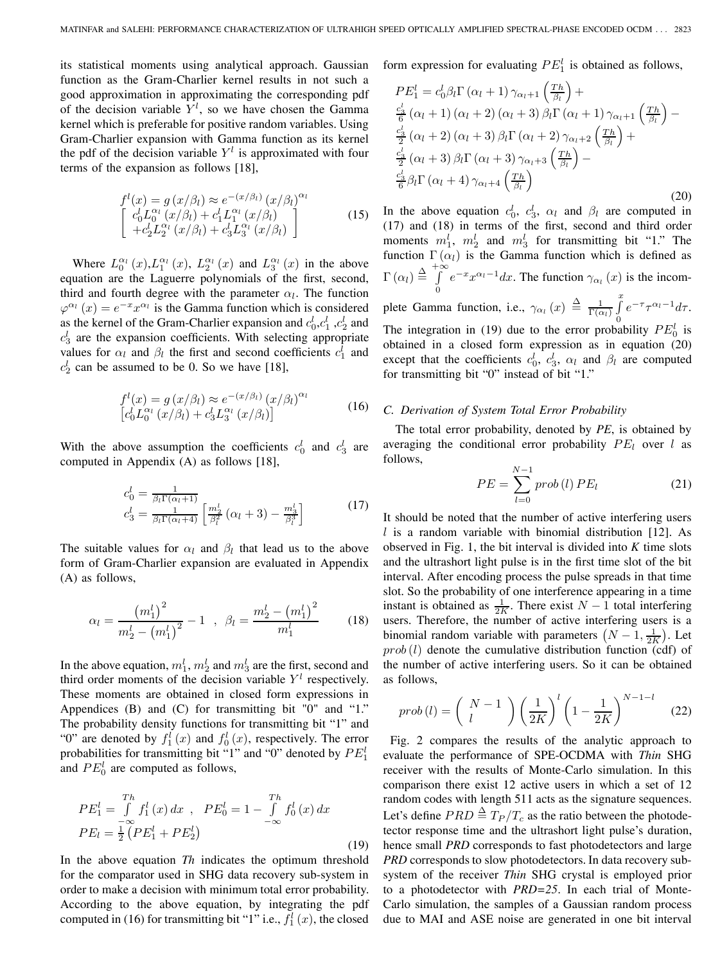its statistical moments using analytical approach. Gaussian function as the Gram-Charlier kernel results in not such a good approximation in approximating the corresponding pdf of the decision variable  $Y^l$ , so we have chosen the Gamma kernel which is preferable for positive random variables. Using Gram-Charlier expansion with Gamma function as its kernel the pdf of the decision variable  $Y<sup>l</sup>$  is approximated with four terms of the expansion as follows [18],

$$
f^{l}(x) = g(x/\beta_{l}) \approx e^{-(x/\beta_{l})} (x/\beta_{l})^{\alpha_{l}} \n\left[ c_{0}^{l} L_{0}^{\alpha_{l}} (x/\beta_{l}) + c_{1}^{l} L_{1}^{\alpha_{l}} (x/\beta_{l}) + c_{2}^{l} L_{2}^{\alpha_{l}} (x/\beta_{l}) + c_{3}^{l} L_{3}^{\alpha_{l}} (x/\beta_{l}) \right]
$$
\n(15)

Where  $L_0^{\alpha_l}(x)$ ,  $L_1^{\alpha_l}(x)$ ,  $L_2^{\alpha_l}(x)$  and  $L_3^{\alpha_l}(x)$  in the above equation are the Laguerre polynomials of the first, second, third and fourth degree with the parameter  $\alpha_l$ . The function  $\varphi^{\alpha_l}(x) = e^{-x} x^{\alpha_l}$  is the Gamma function which is considered as the kernel of the Gram-Charlier expansion and  $c_0^l, c_1^l, c_2^l$  and  $c_3$  are the expansion coefficients. With selecting appropriate values for  $\alpha_l$  and  $\beta_l$  the first and second coefficients  $c_1^l$  and  $c_2^l$  can be assumed to be 0. So we have [18],

$$
f^{l}(x) = g(x/\beta_{l}) \approx e^{-(x/\beta_{l})} (x/\beta_{l})^{\alpha_{l}}
$$
  
\n
$$
[c_{0}^{l} L_{0}^{\alpha_{l}} (x/\beta_{l}) + c_{3}^{l} L_{3}^{\alpha_{l}} (x/\beta_{l})]
$$
\n(16)

With the above assumption the coefficients  $c_0^l$  and  $c_3^l$  are computed in Appendix (A) as follows [18],

$$
c_0^l = \frac{1}{\beta_l \Gamma(\alpha_l + 1)}
$$
  
\n
$$
c_3^l = \frac{1}{\beta_l \Gamma(\alpha_l + 4)} \left[ \frac{m_2^l}{\beta_l^2} \left( \alpha_l + 3 \right) - \frac{m_3^l}{\beta_l^3} \right]
$$
\n(17)

The suitable values for  $\alpha_l$  and  $\beta_l$  that lead us to the above form of Gram-Charlier expansion are evaluated in Appendix (A) as follows,

$$
\alpha_l = \frac{\left(m_1^l\right)^2}{m_2^l - \left(m_1^l\right)^2} - 1 \quad , \quad \beta_l = \frac{m_2^l - \left(m_1^l\right)^2}{m_1^l} \tag{18}
$$

In the above equation,  $m_1^l$ ,  $m_2^l$  and  $m_3^l$  are the first, second and third order moments of the decision variable  $Y<sup>l</sup>$  respectively. These moments are obtained in closed form expressions in Appendices (B) and (C) for transmitting bit "0" and "1." The probability density functions for transmitting bit "1" and "0" are denoted by  $f_1^l(x)$  and  $f_0^l(x)$ , respectively. The error probabilities for transmitting bit "1" and "0" denoted by  $PE_1^l$ and  $PE_0^l$  are computed as follows,

$$
PE_1^l = \int_{-\infty}^{Th} f_1^l(x) dx , PE_0^l = 1 - \int_{-\infty}^{Th} f_0^l(x) dx
$$
  
\n
$$
PE_l = \frac{1}{2} (PE_1^l + PE_2^l)
$$
\n(19)

In the above equation *Th* indicates the optimum threshold for the comparator used in SHG data recovery sub-system in order to make a decision with minimum total error probability. According to the above equation, by integrating the pdf computed in (16) for transmitting bit "1" i.e.,  $f_1^l(x)$ , the closed

form expression for evaluating  $PE<sub>1</sub><sup>l</sup>$  is obtained as follows,

$$
PE_{1}^{l} = c_{0}^{l} \beta_{l} \Gamma(\alpha_{l} + 1) \gamma_{\alpha_{l}+1} \left(\frac{Th}{\beta_{l}}\right) +
$$
  
\n
$$
\frac{c_{3}^{l}}{6} (\alpha_{l} + 1) (\alpha_{l} + 2) (\alpha_{l} + 3) \beta_{l} \Gamma(\alpha_{l} + 1) \gamma_{\alpha_{l}+1} \left(\frac{Th}{\beta_{l}}\right) -
$$
  
\n
$$
\frac{c_{3}^{l}}{2} (\alpha_{l} + 2) (\alpha_{l} + 3) \beta_{l} \Gamma(\alpha_{l} + 2) \gamma_{\alpha_{l}+2} \left(\frac{Th}{\beta_{l}}\right) +
$$
  
\n
$$
\frac{c_{3}^{l}}{6} (\alpha_{l} + 3) \beta_{l} \Gamma(\alpha_{l} + 3) \gamma_{\alpha_{l}+3} \left(\frac{Th}{\beta_{l}}\right) -
$$
  
\n
$$
\frac{c_{3}^{l}}{6} \beta_{l} \Gamma(\alpha_{l} + 4) \gamma_{\alpha_{l}+4} \left(\frac{Th}{\beta_{l}}\right)
$$
\n(20)

In the above equation  $c_0^l$ ,  $c_3^l$ ,  $\alpha_l$  and  $\beta_l$  are computed in (17) and (18) in terms of the first, second and third order moments  $m_1^l$ ,  $m_2^l$  and  $m_3^l$  for transmitting bit "1." The function  $\Gamma(\alpha)$  is the Gamma function which is defined as  $\Gamma(\alpha_l) \stackrel{\Delta}{=} \int^{+\infty}$  $\int\limits_0^{1} e^{-x} x^{\alpha_l - 1} dx$ . The function  $\gamma_{\alpha_l}(x)$  is the incomplete Gamma function, i.e.,  $\gamma_{\alpha_l}(x) \triangleq \frac{1}{\Gamma(\alpha_l)} \int_{a_l}^{x_l}$  $\int\limits_{0}^{\infty}e^{-\tau}\tau^{\alpha_l-1}d\tau.$ The integration in (19) due to the error probability  $PE_0^l$  is obtained in a closed form expression as in equation (20) except that the coefficients  $c_0^l, c_3^l, \alpha_l$  and  $\beta_l$  are computed for transmitting bit "0" instead of bit "1."

#### *C. Derivation of System Total Error Probability*

The total error probability, denoted by *PE*, is obtained by averaging the conditional error probability  $PE_l$  over  $l$  as follows,

$$
PE = \sum_{l=0}^{N-1} prob(l) PE_l
$$
 (21)

It should be noted that the number of active interfering users  $l$  is a random variable with binomial distribution [12]. As observed in Fig. 1, the bit interval is divided into *K* time slots and the ultrashort light pulse is in the first time slot of the bit interval. After encoding process the pulse spreads in that time slot. So the probability of one interference appearing in a time instant is obtained as  $\frac{1}{2K}$ . There exist  $N-1$  total interfering users. Therefore, the number of active interfering users is a binomial random variable with parameters  $(N-1, \frac{1}{2K})$ . Let  $prob(l)$  denote the cumulative distribution function (cdf) of the number of active interfering users. So it can be obtained as follows,

$$
prob(l) = {N-1 \choose l} \left(\frac{1}{2K}\right)^l \left(1 - \frac{1}{2K}\right)^{N-1-l}
$$
 (22)

Fig. 2 compares the results of the analytic approach to evaluate the performance of SPE-OCDMA with *Thin* SHG receiver with the results of Monte-Carlo simulation. In this comparison there exist 12 active users in which a set of 12 random codes with length 511 acts as the signature sequences. Let's define  $PRD \stackrel{\Delta}{=} T_P/T_c$  as the ratio between the photodetector response time and the ultrashort light pulse's duration, hence small *PRD* corresponds to fast photodetectors and large *PRD* corresponds to slow photodetectors. In data recovery subsystem of the receiver *Thin* SHG crystal is employed prior to a photodetector with *PRD=25*. In each trial of Monte-Carlo simulation, the samples of a Gaussian random process due to MAI and ASE noise are generated in one bit interval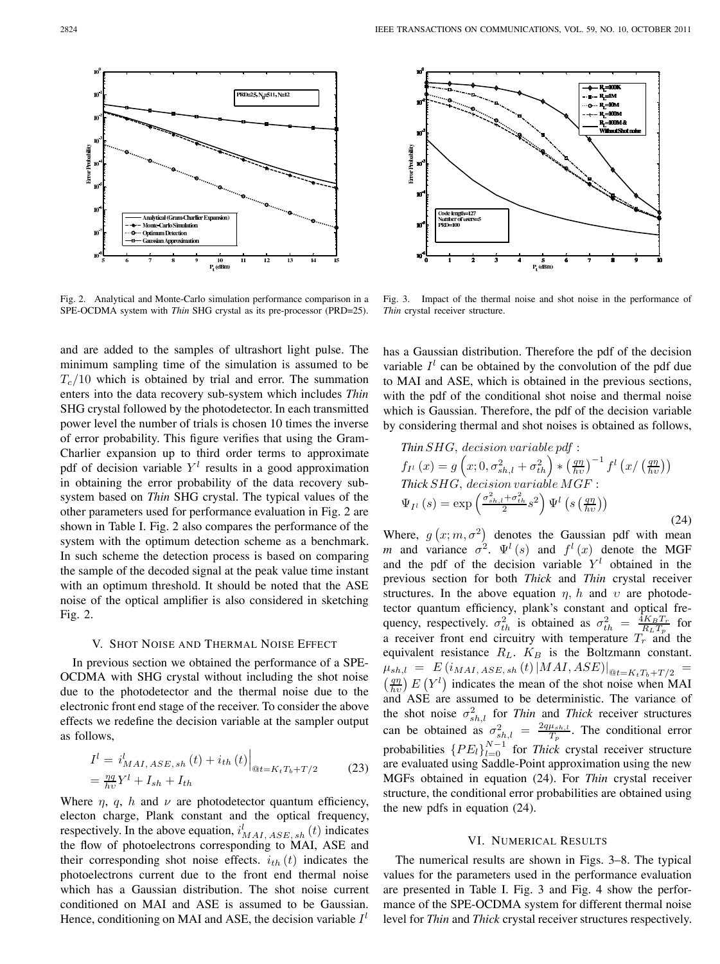

Fig. 2. Analytical and Monte-Carlo simulation performance comparison in a SPE-OCDMA system with *Thin* SHG crystal as its pre-processor (PRD=25).

and are added to the samples of ultrashort light pulse. The minimum sampling time of the simulation is assumed to be  $T_c/10$  which is obtained by trial and error. The summation enters into the data recovery sub-system which includes *Thin* SHG crystal followed by the photodetector. In each transmitted power level the number of trials is chosen 10 times the inverse of error probability. This figure verifies that using the Gram-Charlier expansion up to third order terms to approximate pdf of decision variable  $Y<sup>l</sup>$  results in a good approximation in obtaining the error probability of the data recovery subsystem based on *Thin* SHG crystal. The typical values of the other parameters used for performance evaluation in Fig. 2 are shown in Table I. Fig. 2 also compares the performance of the system with the optimum detection scheme as a benchmark. In such scheme the detection process is based on comparing the sample of the decoded signal at the peak value time instant with an optimum threshold. It should be noted that the ASE noise of the optical amplifier is also considered in sketching Fig. 2.

#### V. SHOT NOISE AND THERMAL NOISE EFFECT

In previous section we obtained the performance of a SPE-OCDMA with SHG crystal without including the shot noise due to the photodetector and the thermal noise due to the electronic front end stage of the receiver. To consider the above effects we redefine the decision variable at the sampler output as follows,

$$
I^{l} = i_{MAI, ASE, sh}^{l}(t) + i_{th}(t) \Big|_{\mathfrak{D}t = K_{t}T_{b} + T/2}
$$
\n
$$
= \frac{\eta q}{h v} Y^{l} + I_{sh} + I_{th}
$$
\n(23)

Where  $\eta$ ,  $q$ ,  $h$  and  $\nu$  are photodetector quantum efficiency, electon charge, Plank constant and the optical frequency, respectively. In the above equation,  $i_{MAI, ASE, sh}^{l}(t)$  indicates the flow of photoelectrons corresponding to MAI, ASE and their corresponding shot noise effects.  $i_{th}(t)$  indicates the photoelectrons current due to the front end thermal noise which has a Gaussian distribution. The shot noise current conditioned on MAI and ASE is assumed to be Gaussian. Hence, conditioning on MAI and ASE, the decision variable  $I^{\ell}$ 



Fig. 3. Impact of the thermal noise and shot noise in the performance of *Thin* crystal receiver structure.

has a Gaussian distribution. Therefore the pdf of the decision variable  $I^l$  can be obtained by the convolution of the pdf due to MAI and ASE, which is obtained in the previous sections, with the pdf of the conditional shot noise and thermal noise which is Gaussian. Therefore, the pdf of the decision variable by considering thermal and shot noises is obtained as follows,

$$
\begin{aligned}\n\text{Thin SHG, decision variable pdf:} \\
f_{I^l}(x) &= g\left(x; 0, \sigma_{sh,l}^2 + \sigma_{th}^2\right) * \left(\frac{q\eta}{h\upsilon}\right)^{-1} f^l\left(x/\left(\frac{q\eta}{h\upsilon}\right)\right) \\
\text{Thick SHG, decision variable MGF:} \\
\Psi_{I^l}(s) &= \exp\left(\frac{\sigma_{sh,l}^2 + \sigma_{th}^2}{2}s^2\right) \Psi^l\left(s\left(\frac{q\eta}{h\upsilon}\right)\right)\n\end{aligned}
$$
\n
$$
(24)
$$

Where,  $g(x; m, \sigma^2)$  denotes the Gaussian pdf with mean *m* and variance  $\sigma^2$ .  $\Psi^l(s)$  and  $f^l(x)$  denote the MGF and the pdf of the decision variable  $Y<sup>l</sup>$  obtained in the previous section for both *Thick* and *Thin* crystal receiver structures. In the above equation  $\eta$ , h and  $\upsilon$  are photodetector quantum efficiency, plank's constant and optical frequency, respectively.  $\sigma_{th}^2$  is obtained as  $\sigma_{th}^2 = \frac{4K_B T_r}{R_L T_p}$  for a receiver front end circuitry with temperature  $T_r$  and the equivalent resistance  $R_L$ .  $K_B$  is the Boltzmann constant.  $\mu_{sh,l} = E(i_{MAI,ASE,sh}(t) | MAI,ASE\rangle|_{\mathcal{Q}_{t=K_t T_b + T/2}} =$ <br>  $\left(\frac{qn}{h} \right) E(Y^l)$  indicates the mean of the shot noise when MAI  $\left(\frac{q\eta}{h\nu}\right) E\left(Y^l\right)$  indicates the mean of the shot noise when MAI and ASE are assumed to be deterministic. The variance of the shot noise  $\sigma_{sh,l}^2$  for *Thin* and *Thick* receiver structures can be obtained as  $\sigma_{sh,l}^2 = \frac{2q\mu_{sh,l}}{T_p}$ . The conditional error probabilities  ${P E_l}_{l=0}^{N-1}$  for *Thick* crystal receiver structure are evaluated using Saddle-Point approximation using the new MGFs obtained in equation (24). For *Thin* crystal receiver structure, the conditional error probabilities are obtained using the new pdfs in equation (24).

#### VI. NUMERICAL RESULTS

The numerical results are shown in Figs. 3–8. The typical values for the parameters used in the performance evaluation are presented in Table I. Fig. 3 and Fig. 4 show the performance of the SPE-OCDMA system for different thermal noise level for *Thin* and *Thick* crystal receiver structures respectively.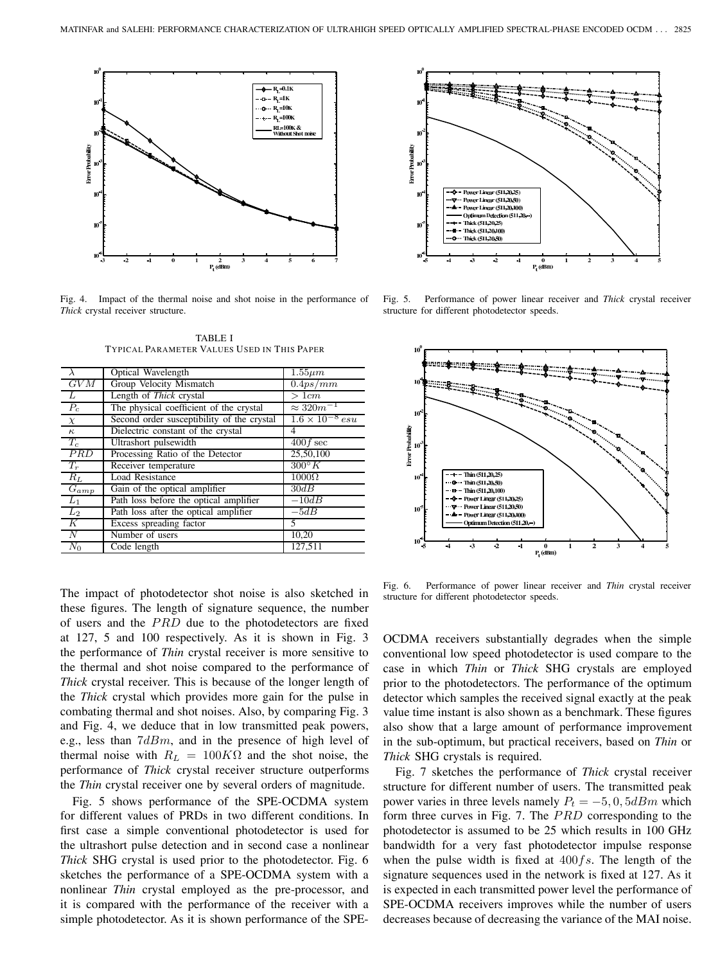

Fig. 4. Impact of the thermal noise and shot noise in the performance of *Thick* crystal receiver structure.

TABLE I TYPICAL PARAMETER VALUES USED IN THIS PAPER

| $\lambda$      | Optical Wavelength                         | $1.55 \mu m$             |
|----------------|--------------------------------------------|--------------------------|
| GVM            | Group Velocity Mismatch                    | 0.4 ps/mm                |
| L              | Length of Thick crystal                    | >1cm                     |
| $P_c$          | The physical coefficient of the crystal    | $\approx 320 m^{-1}$     |
| $\chi$         | Second order susceptibility of the crystal | $1.6 \times 10^{-8}$ esu |
| $\kappa$       | Dielectric constant of the crystal         | 4                        |
| $T_c$          | Ultrashort pulsewidth                      | $400f$ sec               |
| PRD            | Processing Ratio of the Detector           | 25,50,100                |
| $T_r$          | Receiver temperature                       | $300^{\circ} K$          |
| $R_L$          | <b>Load Resistance</b>                     | $1000\Omega$             |
| $G_{amp}$      | Gain of the optical amplifier              | 30dB                     |
| $L_1$          | Path loss before the optical amplifier     | $-10dB$                  |
| $L_2$          | Path loss after the optical amplifier      | $-5dB$                   |
| K              | Excess spreading factor                    | 5                        |
| $\overline{N}$ | Number of users                            | 10,20                    |
| $N_0$          | Code length                                | 127,511                  |
|                |                                            |                          |

The impact of photodetector shot noise is also sketched in these figures. The length of signature sequence, the number of users and the  $PRD$  due to the photodetectors are fixed at 127, 5 and 100 respectively. As it is shown in Fig. 3 the performance of *Thin* crystal receiver is more sensitive to the thermal and shot noise compared to the performance of *Thick* crystal receiver. This is because of the longer length of the *Thick* crystal which provides more gain for the pulse in combating thermal and shot noises. Also, by comparing Fig. 3 and Fig. 4, we deduce that in low transmitted peak powers, e.g., less than  $7dBm$ , and in the presence of high level of thermal noise with  $R_L = 100K\Omega$  and the shot noise, the performance of *Thick* crystal receiver structure outperforms the *Thin* crystal receiver one by several orders of magnitude.

Fig. 5 shows performance of the SPE-OCDMA system for different values of PRDs in two different conditions. In first case a simple conventional photodetector is used for the ultrashort pulse detection and in second case a nonlinear *Thick* SHG crystal is used prior to the photodetector. Fig. 6 sketches the performance of a SPE-OCDMA system with a nonlinear *Thin* crystal employed as the pre-processor, and it is compared with the performance of the receiver with a simple photodetector. As it is shown performance of the SPE-



Fig. 5. Performance of power linear receiver and *Thick* crystal receiver structure for different photodetector speeds.



Fig. 6. Performance of power linear receiver and *Thin* crystal receiver structure for different photodetector speeds.

OCDMA receivers substantially degrades when the simple conventional low speed photodetector is used compare to the case in which *Thin* or *Thick* SHG crystals are employed prior to the photodetectors. The performance of the optimum detector which samples the received signal exactly at the peak value time instant is also shown as a benchmark. These figures also show that a large amount of performance improvement in the sub-optimum, but practical receivers, based on *Thin* or *Thick* SHG crystals is required.

Fig. 7 sketches the performance of *Thick* crystal receiver structure for different number of users. The transmitted peak power varies in three levels namely  $P_t = -5, 0, 5dBm$  which form three curves in Fig. 7. The  $PRD$  corresponding to the photodetector is assumed to be 25 which results in 100 GHz bandwidth for a very fast photodetector impulse response when the pulse width is fixed at  $400fs$ . The length of the signature sequences used in the network is fixed at 127. As it is expected in each transmitted power level the performance of SPE-OCDMA receivers improves while the number of users decreases because of decreasing the variance of the MAI noise.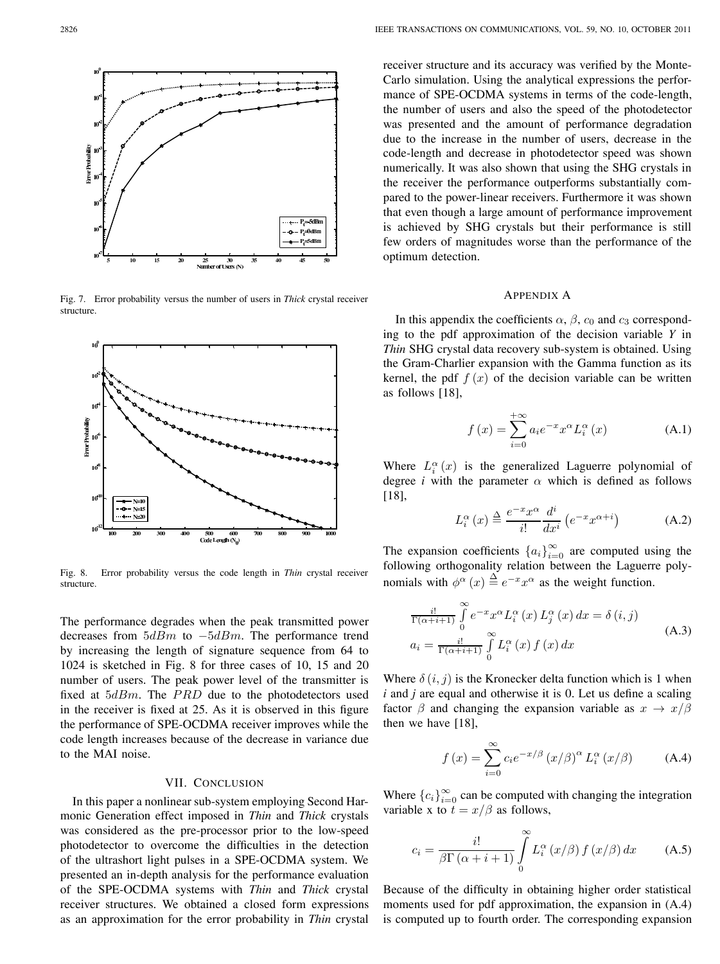

Fig. 7. Error probability versus the number of users in *Thick* crystal receiver structure.



Fig. 8. Error probability versus the code length in *Thin* crystal receiver structure.

The performance degrades when the peak transmitted power decreases from  $5dBm$  to  $-5dBm$ . The performance trend by increasing the length of signature sequence from 64 to 1024 is sketched in Fig. 8 for three cases of 10, 15 and 20 number of users. The peak power level of the transmitter is fixed at  $5dBm$ . The  $PRD$  due to the photodetectors used in the receiver is fixed at 25. As it is observed in this figure the performance of SPE-OCDMA receiver improves while the code length increases because of the decrease in variance due to the MAI noise.

## VII. CONCLUSION

In this paper a nonlinear sub-system employing Second Harmonic Generation effect imposed in *Thin* and *Thick* crystals was considered as the pre-processor prior to the low-speed photodetector to overcome the difficulties in the detection of the ultrashort light pulses in a SPE-OCDMA system. We presented an in-depth analysis for the performance evaluation of the SPE-OCDMA systems with *Thin* and *Thick* crystal receiver structures. We obtained a closed form expressions as an approximation for the error probability in *Thin* crystal receiver structure and its accuracy was verified by the Monte-Carlo simulation. Using the analytical expressions the performance of SPE-OCDMA systems in terms of the code-length, the number of users and also the speed of the photodetector was presented and the amount of performance degradation due to the increase in the number of users, decrease in the code-length and decrease in photodetector speed was shown numerically. It was also shown that using the SHG crystals in the receiver the performance outperforms substantially compared to the power-linear receivers. Furthermore it was shown that even though a large amount of performance improvement is achieved by SHG crystals but their performance is still few orders of magnitudes worse than the performance of the optimum detection.

## APPENDIX A

In this appendix the coefficients  $\alpha$ ,  $\beta$ ,  $c_0$  and  $c_3$  corresponding to the pdf approximation of the decision variable *Y* in *Thin* SHG crystal data recovery sub-system is obtained. Using the Gram-Charlier expansion with the Gamma function as its kernel, the pdf  $f(x)$  of the decision variable can be written as follows [18],

$$
f(x) = \sum_{i=0}^{+\infty} a_i e^{-x} x^{\alpha} L_i^{\alpha}(x)
$$
 (A.1)

Where  $L_i^{\alpha}(x)$  is the generalized Laguerre polynomial of degree *i* with the parameter  $\alpha$  which is defined as follows [18],

$$
L_i^{\alpha}(x) \stackrel{\Delta}{=} \frac{e^{-x} x^{\alpha}}{i!} \frac{d^i}{dx^i} \left( e^{-x} x^{\alpha + i} \right)
$$
 (A.2)

The expansion coefficients  ${a_i}_{i=0}^{\infty}$  are computed using the following orthogonality relation between the Laguerre polynomials with  $\phi^{\alpha}(x) \stackrel{\Delta}{=} e^{-x} x^{\alpha}$  as the weight function.

$$
\frac{i!}{\Gamma(\alpha+i+1)} \int_{0}^{\infty} e^{-x} x^{\alpha} L_{i}^{\alpha}(x) L_{j}^{\alpha}(x) dx = \delta(i, j)
$$
\n
$$
a_{i} = \frac{i!}{\Gamma(\alpha+i+1)} \int_{0}^{\infty} L_{i}^{\alpha}(x) f(x) dx
$$
\n(A.3)

Where  $\delta(i, j)$  is the Kronecker delta function which is 1 when *i* and *j* are equal and otherwise it is 0. Let us define a scaling factor  $\beta$  and changing the expansion variable as  $x \to x/\beta$ then we have [18],

$$
f(x) = \sum_{i=0}^{\infty} c_i e^{-x/\beta} (x/\beta)^{\alpha} L_i^{\alpha} (x/\beta)
$$
 (A.4)

Where  ${c_i}_{i=0}^{\infty}$  can be computed with changing the integration variable x to  $t = x/\beta$  as follows,

$$
c_i = \frac{i!}{\beta \Gamma(\alpha + i + 1)} \int_{0}^{\infty} L_i^{\alpha}(x/\beta) f(x/\beta) dx
$$
 (A.5)

Because of the difficulty in obtaining higher order statistical moments used for pdf approximation, the expansion in (A.4) is computed up to fourth order. The corresponding expansion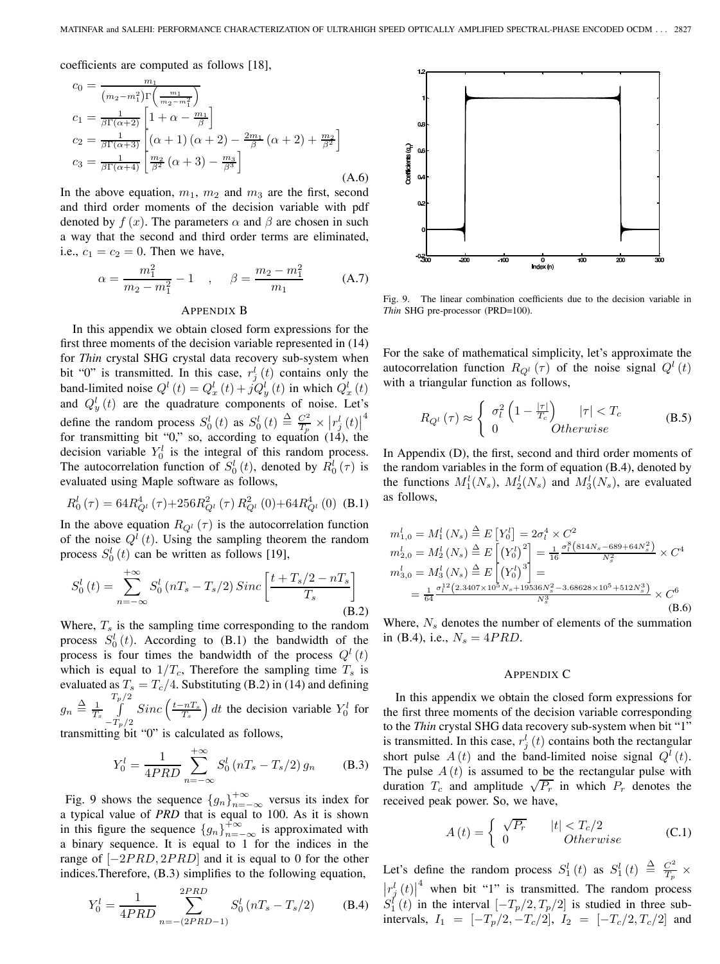coefficients are computed as follows [18],

$$
c_0 = \frac{m_1}{(m_2 - m_1^2) \Gamma\left(\frac{m_1}{m_2 - m_1^2}\right)}
$$
  
\n
$$
c_1 = \frac{1}{\beta \Gamma(\alpha + 2)} \left[1 + \alpha - \frac{m_1}{\beta}\right]
$$
  
\n
$$
c_2 = \frac{1}{\beta \Gamma(\alpha + 3)} \left[ (\alpha + 1) (\alpha + 2) - \frac{2m_1}{\beta} (\alpha + 2) + \frac{m_2}{\beta^2} \right]
$$
  
\n
$$
c_3 = \frac{1}{\beta \Gamma(\alpha + 4)} \left[ \frac{m_2}{\beta^2} (\alpha + 3) - \frac{m_3}{\beta^3} \right]
$$
  
\n(A.6)

In the above equation,  $m_1$ ,  $m_2$  and  $m_3$  are the first, second and third order moments of the decision variable with pdf denoted by  $f(x)$ . The parameters  $\alpha$  and  $\beta$  are chosen in such a way that the second and third order terms are eliminated, i.e.,  $c_1 = c_2 = 0$ . Then we have,

$$
\alpha = \frac{m_1^2}{m_2 - m_1^2} - 1 \quad , \quad \beta = \frac{m_2 - m_1^2}{m_1} \tag{A.7}
$$

### APPENDIX B

In this appendix we obtain closed form expressions for the first three moments of the decision variable represented in (14) for *Thin* crystal SHG crystal data recovery sub-system when bit "0" is transmitted. In this case,  $r_j^l(t)$  contains only the band-limited noise  $Q^l(t) = Q_x^l(t) + jQ_y^l(t)$  in which  $Q_x^l(t)$ and  $Q_y^l(t)$  are the quadrature components of noise. Let's define the random process  $S_0^l(t)$  as  $S_0^l(t) \triangleq \frac{C^2}{T_p} \times \left| r_j^l(t) \right|^4$ for transmitting bit "0," so, according to equation  $(14)$ , the decision variable  $Y_0^l$  is the integral of this random process. The autocorrelation function of  $S_0^l(t)$ , denoted by  $R_0^l(\tau)$  is evaluated using Maple software as follows,

$$
R_0^l(\tau) = 64 R_{Q^l}^4(\tau) + 256 R_{Q^l}^2(\tau) R_{Q^l}^2(0) + 64 R_{Q^l}^4(0)
$$
 (B.1)

In the above equation  $R_{Q^l}(\tau)$  is the autocorrelation function of the noise  $Q^{l}(t)$ . Using the sampling theorem the random process  $S_0^l(t)$  can be written as follows [19],

$$
S_0^l(t) = \sum_{n = -\infty}^{+\infty} S_0^l (nT_s - T_s/2) \, Sinc\left[\frac{t + T_s/2 - nT_s}{T_s}\right]
$$
\n(B.2)

Where,  $T_s$  is the sampling time corresponding to the random process  $S_0^l(t)$ . According to (B.1) the bandwidth of the process is four times the bandwidth of the process  $Q^{l}(t)$ which is equal to  $1/T_c$ , Therefore the sampling time  $T_s$  is evaluated as  $T_s = T_c/4$ . Substituting (B.2) in (14) and defining  $g_n \triangleq \frac{1}{T_s}$  $T_p/2$ ∫  $-T_p/2$  $Sinc\left(\frac{t-nT_s}{T_s}\right)dt$  the decision variable  $Y_0^l$  for transmitting bit "0" is calculated as follows,

$$
Y_0^l = \frac{1}{4PRD} \sum_{n=-\infty}^{+\infty} S_0^l (nT_s - T_s/2) g_n
$$
 (B.3)

Fig. 9 shows the sequence  ${g_n}_{n=-\infty}^{+\infty}$  versus its index for a typical value of *PRD* that is equal to 100. As it is shown in this figure the sequence  ${g_n}_{n=-\infty}^{+\infty}$  is approximated with a binary sequence. It is equal to 1 for the indices in the range of  $[-2PRD, 2PRD]$  and it is equal to 0 for the other indices.Therefore, (B.3) simplifies to the following equation,

 $2000$ 

$$
Y_0^l = \frac{1}{4PRD} \sum_{n=-(2PRD-1)}^{2PRD} S_0^l (nT_s - T_s/2)
$$
 (B.4)



Fig. 9. The linear combination coefficients due to the decision variable in *Thin* SHG pre-processor (PRD=100).

For the sake of mathematical simplicity, let's approximate the autocorrelation function  $R_{Q^l}(\tau)$  of the noise signal  $Q^l(t)$ with a triangular function as follows,

$$
R_{Q^l}(\tau) \approx \begin{cases} \sigma_l^2 \left(1 - \frac{|\tau|}{T_c}\right) & |\tau| < T_c \\ 0 & \text{Otherwise} \end{cases} \tag{B.5}
$$

In Appendix (D), the first, second and third order moments of the random variables in the form of equation (B.4), denoted by the functions  $M_1^l(N_s)$ ,  $M_2^l(N_s)$  and  $M_3^l(N_s)$ , are evaluated as follows,

$$
m_{1,0}^l = M_1^l(N_s) \stackrel{\Delta}{=} E\left[Y_0^l\right] = 2\sigma_l^4 \times C^2
$$
  
\n
$$
m_{2,0}^l = M_2^l(N_s) \stackrel{\Delta}{=} E\left[\left(Y_0^l\right)^2\right] = \frac{1}{16} \frac{\sigma_l^8 (814N_s - 689 + 64N_s^2)}{N_s^2} \times C^4
$$
  
\n
$$
m_{3,0}^l = M_3^l(N_s) \stackrel{\Delta}{=} E\left[\left(Y_0^l\right)^3\right] =
$$
  
\n
$$
= \frac{1}{64} \frac{\sigma_l^{12} (2.3407 \times 10^5 N_s + 19536N_s^2 - 3.68628 \times 10^5 + 512N_s^3)}{N_s^3} \times C^6
$$
  
\n(B.6)

Where,  $N_s$  denotes the number of elements of the summation in (B.4), i.e.,  $N_s = 4PRD$ .

#### APPENDIX C

In this appendix we obtain the closed form expressions for the first three moments of the decision variable corresponding to the *Thin* crystal SHG data recovery sub-system when bit "1" is transmitted. In this case,  $r_j^l(t)$  contains both the rectangular short pulse  $A(t)$  and the band-limited noise signal  $Q^{l}(t)$ . The pulse  $A(t)$  is assumed to be the rectangular pulse with duration  $T_c$  and amplitude  $\sqrt{P_r}$  in which  $P_r$  denotes the received peak power. So, we have,

$$
A(t) = \begin{cases} \sqrt{P_r} & |t| < T_c/2\\ 0 & \text{Otherwise} \end{cases} \tag{C.1}
$$

Let's define the random process  $S_1^l(t)$  as  $S_1^l(t) \triangleq \frac{C^2}{T_p}$  ×  $\left|r_{i}^{l}(t)\right|^{4}$  when bit "1" is transmitted. The random process  $S_1^l(t)$  in the interval  $[-T_p/2, T_p/2]$  is studied in three subintervals,  $I_1 = [-T_p/2, -T_c/2], I_2 = [-T_c/2, T_c/2]$  and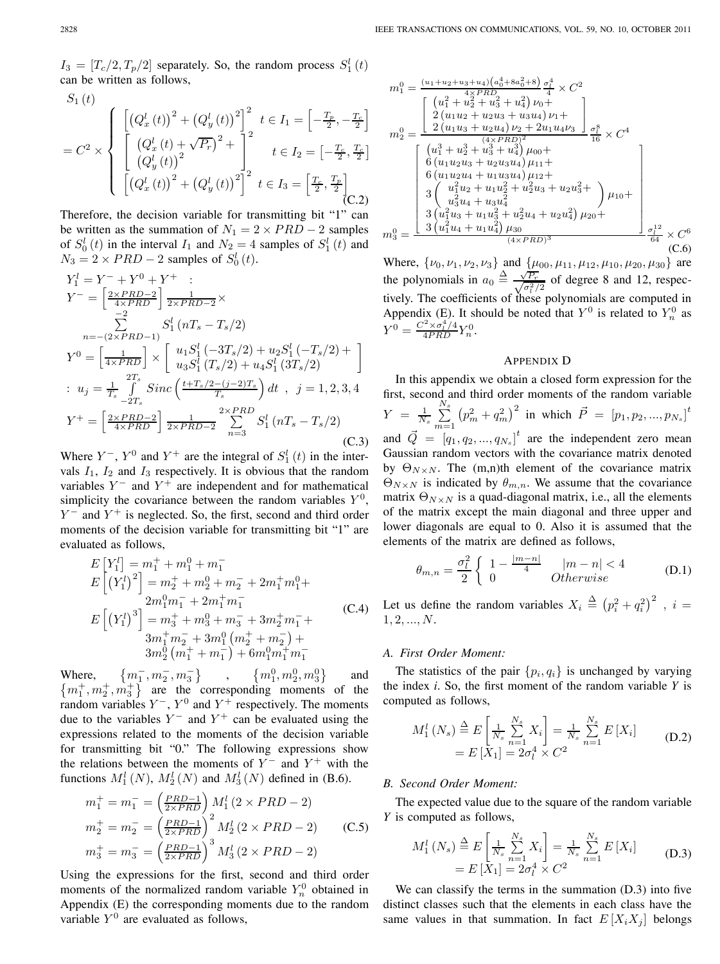$I_3 = [T_c/2, T_p/2]$  separately. So, the random process  $S_1^l(t)$ can be written as follows,

$$
S_{1}(t)
$$
\n
$$
= C^{2} \times \left\{\n\begin{bmatrix}\n\left(Q_{x}^{l}(t)\right)^{2} + \left(Q_{y}^{l}(t)\right)^{2}\right]^{2} & t \in I_{1} = \left[-\frac{T_{p}}{2}, -\frac{T_{c}}{2}\right] \\
\left[\left(Q_{x}^{l}(t) + \sqrt{P_{r}}\right)^{2} + \left(\frac{1}{2}\right)^{2} & t \in I_{2} = \left[-\frac{T_{c}}{2}, \frac{T_{c}}{2}\right] \\
\left(Q_{y}^{l}(t)\right)^{2} + \left(Q_{y}^{l}(t)\right)^{2}\right]^{2} & t \in I_{3} = \left[\frac{T_{c}}{2}, \frac{T_{p}}{2}\right] \\
\left(C_{x}^{l}(t)\right)^{2} + \left(Q_{y}^{l}(t)\right)^{2}\n\end{bmatrix} \right\}.
$$

Therefore, the decision variable for transmitting bit "1" can be written as the summation of  $N_1 = 2 \times PRD - 2$  samples of  $S_0^l(t)$  in the interval  $I_1$  and  $N_2 = 4$  samples of  $S_1^l(t)$  and  $N_3 = 2 \times PRD - 2$  samples of  $S_0^l(t)$ .

$$
Y_1^l = Y^- + Y^0 + Y^+ : Y^- = \left[\frac{2 \times PRD - 2}{4 \times PRD}\right] \frac{1}{2 \times PRD - 2} \times \frac{1}{\sum_{n=-\frac{(2 \times PRD - 1)}{2}} S_1^l (nT_s - T_s/2) n = -(2 \times PRD - 1) Y^0 = \left[\frac{1}{4 \times PRD}\right] \times \left[\begin{array}{c} u_1 S_1^l (-3T_s/2) + u_2 S_1^l (-T_s/2) + \\ u_3 S_1^l (T_s/2) + u_4 S_1^l (3T_s/2) \end{array}\right] : u_j = \frac{1}{T_s} \int_{-2T_s}^{2T_s} Sinc\left(\frac{t + T_s/2 - (j - 2)T_s}{T_s}\right) dt , j = 1, 2, 3, 4 Y^+ = \left[\frac{2 \times PRD - 2}{4 \times PRD}\right] \frac{1}{2 \times PRD - 2} \sum_{n=3}^{2 \times PRD} S_1^l (nT_s - T_s/2) \n(C.3)
$$

Where  $Y^-$ ,  $Y^0$  and  $Y^+$  are the integral of  $S_1^l(t)$  in the intervals  $I_1$ ,  $I_2$  and  $I_3$  respectively. It is obvious that the random variables  $Y^-$  and  $Y^+$  are independent and for mathematical simplicity the covariance between the random variables  $Y^0$ ,  $Y^-$  and  $Y^+$  is neglected. So, the first, second and third order moments of the decision variable for transmitting bit "1" are evaluated as follows,

$$
E\left[Y_{1}^{l}\right] = m_{1}^{+} + m_{1}^{0} + m_{1}^{-}
$$
  
\n
$$
E\left[\left(Y_{1}^{l}\right)^{2}\right] = m_{2}^{+} + m_{2}^{0} + m_{2}^{-} + 2m_{1}^{+}m_{1}^{0} +
$$
  
\n
$$
2m_{1}^{0}m_{1}^{-} + 2m_{1}^{+}m_{1}^{-}
$$
  
\n
$$
E\left[\left(Y_{1}^{l}\right)^{3}\right] = m_{3}^{+} + m_{3}^{0} + m_{3}^{-} + 3m_{2}^{+}m_{1}^{-} +
$$
  
\n
$$
3m_{1}^{+}m_{2}^{-} + 3m_{1}^{0}\left(m_{2}^{+} + m_{2}^{-}\right) +
$$
  
\n
$$
3m_{2}^{0}\left(m_{1}^{+} + m_{1}^{-}\right) + 6m_{1}^{0}m_{1}^{+}m_{1}^{-}
$$
\n(C.4)

Where,  $\{m_1^-, m_2^-, m_3^-\}$ ,  $\{m_1^0, m_2^0, m_3^0\}$  and  ${m_1^+, m_2^+, m_3^+}$  are the corresponding moments of the random variables  $Y^-$ ,  $Y^0$  and  $Y^+$  respectively. The moments due to the variables  $Y^-$  and  $Y^+$  can be evaluated using the expressions related to the moments of the decision variable for transmitting bit "0." The following expressions show the relations between the moments of  $Y^-$  and  $Y^+$  with the functions  $M_1^l(N)$ ,  $M_2^l(N)$  and  $M_3^l(N)$  defined in (B.6).

$$
m_1^+ = m_1^- = \left(\frac{PRD-1}{2\times PRD}\right) M_1^l (2 \times PRD - 2)
$$
  
\n
$$
m_2^+ = m_2^- = \left(\frac{PRD-1}{2\times PRD}\right)^2 M_2^l (2 \times PRD - 2)
$$
  
\n
$$
m_3^+ = m_3^- = \left(\frac{PRD-1}{2\times PRD}\right)^3 M_3^l (2 \times PRD - 2)
$$
 (C.5)

Using the expressions for the first, second and third order moments of the normalized random variable  $Y_n^0$  obtained in Appendix (E) the corresponding moments due to the random variable  $Y^0$  are evaluated as follows,

$$
m_1^0 = \frac{(u_1 + u_2 + u_3 + u_4)(a_0^4 + 8a_0^2 + 8)}{4 \times PRD} \frac{\sigma_1^4}{4} \times C^2
$$
  
\n
$$
m_2^0 = \frac{\begin{bmatrix} (u_1^2 + u_2^2 + u_3^2 + u_4^2) \nu_0 + \\ 2(u_1u_2 + u_2u_3 + u_3u_4) \nu_1 + \\ 2(u_1u_3 + u_2u_4) \nu_2 + 2u_1u_4\nu_3 \end{bmatrix} \frac{\sigma_1^8}{16} \times C^4}{\begin{bmatrix} (u_1^3 + u_2^3 + u_3^3 + u_4^3) \mu_{00} + \\ 6(u_1u_2u_3 + u_2u_3u_4) \mu_{11} + \\ 6(u_1u_2u_4 + u_1u_3u_4) \mu_{12} + \\ 3\begin{bmatrix} u_1^2u_2 + u_1u_2^2 + u_2^2u_3 + u_2u_3^2 + \\ u_3^2u_4 + u_3u_4^2 \end{bmatrix} \mu_{10} + \\ 3\begin{bmatrix} u_1^2u_3 + u_1u_3^2 + u_2^2u_4 + u_2u_4^2 \end{bmatrix} \mu_{20} + \\ m_3^0 = \frac{\begin{bmatrix} 1^2 & 8 & 0 \\ 3 & 0 & 0 \\ 3 & 0 & 0 \\ 3 & 0 & 0 & 0 \end{bmatrix} \frac{\sigma_1^4}{16} \times C^6}{\begin{bmatrix} 1 & 0 & 0 \\ 0 & 0 & 0 \end{bmatrix} \end{bmatrix}
$$

Where,  $\{\nu_0, \nu_1, \nu_2, \nu_3\}$  and  $\{\mu_{00}, \mu_{11}, \mu_{12}, \mu_{10}, \mu_{20}, \mu_{30}\}$  are the polynomials in  $a_0 \triangleq \frac{\sqrt{P_r}}{\sqrt{P_r^2}}$  $\frac{P_r}{\sigma_i^2/2}$  of degree 8 and 12, respectively. The coefficients of these polynomials are computed in Appendix (E). It should be noted that  $Y^0$  is related to  $Y^0$  as  $Y^0 = \frac{C^2 \times \sigma_l^4 / 4}{4PRD} Y_n^0.$ 

### APPENDIX D

In this appendix we obtain a closed form expression for the first, second and third order moments of the random variable  $Y = \frac{1}{N_s} \sum^{N_s}$  $m=1$  $(p_m^2 + q_m^2)^2$  in which  $\vec{P} = [p_1, p_2, ..., p_{N_s}]^t$ and  $\vec{Q} = [q_1, q_2, ..., q_{N_s}]^t$  are the independent zero mean Gaussian random vectors with the covariance matrix denoted by  $\Theta_{N\times N}$ . The (m,n)th element of the covariance matrix  $\Theta_{N\times N}$  is indicated by  $\theta_{m,n}$ . We assume that the covariance matrix  $\Theta_{N \times N}$  is a quad-diagonal matrix, i.e., all the elements of the matrix except the main diagonal and three upper and lower diagonals are equal to 0. Also it is assumed that the elements of the matrix are defined as follows,

$$
\theta_{m,n} = \frac{\sigma_l^2}{2} \begin{cases} 1 - \frac{|m-n|}{4} & |m-n| < 4\\ 0 & Otherwise \end{cases}
$$
 (D.1)

Let us define the random variables  $X_i \triangleq (p_i^2 + q_i^2)^2$ ,  $i =$  $1, 2, ..., N$ .

#### *A. First Order Moment:*

The statistics of the pair  $\{p_i, q_i\}$  is unchanged by varying the index *i*. So, the first moment of the random variable *Y* is computed as follows,

$$
M_1^l(N_s) \stackrel{\Delta}{=} E\left[\frac{1}{N_s} \sum_{n=1}^{N_s} X_i\right] = \frac{1}{N_s} \sum_{n=1}^{N_s} E\left[X_i\right]
$$
  
=  $E\left[X_1\right] = 2\sigma_l^4 \times C^2$  (D.2)

## *B. Second Order Moment:*

The expected value due to the square of the random variable *Y* is computed as follows,

$$
M_1^l(N_s) \stackrel{\Delta}{=} E\left[\frac{1}{N_s} \sum_{n=1}^{N_s} X_i\right] = \frac{1}{N_s} \sum_{n=1}^{N_s} E[X_i]
$$
  
=  $E[X_1] = 2\sigma_1^4 \times C^2$  (D.3)

We can classify the terms in the summation (D.3) into five distinct classes such that the elements in each class have the same values in that summation. In fact  $E[X_i X_j]$  belongs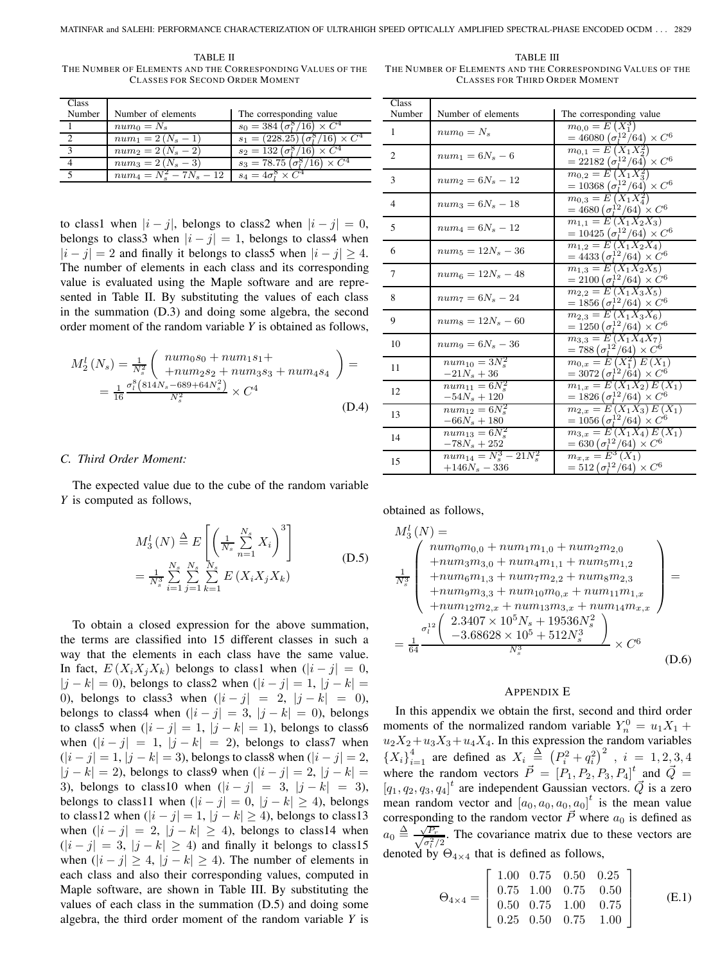TABLE II THE NUMBER OF ELEMENTS AND THE CORRESPONDING VALUES OF THE CLASSES FOR SECOND ORDER MOMENT

TABLE III THE NUMBER OF ELEMENTS AND THE CORRESPONDING VALUES OF THE CLASSES FOR THIRD ORDER MOMENT

| <b>Class</b> |                             |                                                               |
|--------------|-----------------------------|---------------------------------------------------------------|
| Number       | Number of elements          | The corresponding value                                       |
|              | $num_0 = N_s$               | $s_0 = 384 (\sigma_1^8/16) \times C^4$                        |
| C            | $num_1 = 2(N_s - 1)$        | $s_1 = (228.25) (\sigma_1^8/16) \times C^4$                   |
| $\mathbf{R}$ | $num_2 = 2(N_s - 2)$        | $s_2 = 132 \left( \frac{\sigma_0^8}{16} \right) \times C^4$   |
| 4            | $num_3 = 2(N_s - 3)$        | $s_3 = 78.75 \left( \frac{\sigma_0^8}{16} \right) \times C^4$ |
| $\leq$       | $num_4 = N_s^2 - 7N_s - 12$ | $s_4 = 4\sigma_i^8 \times \overline{C^4}$                     |

to class1 when  $|i - j|$ , belongs to class2 when  $|i - j| = 0$ , belongs to class3 when  $|i - j| = 1$ , belongs to class4 when  $|i - j| = 2$  and finally it belongs to class5 when  $|i - j| \ge 4$ . The number of elements in each class and its corresponding value is evaluated using the Maple software and are represented in Table II. By substituting the values of each class in the summation (D.3) and doing some algebra, the second order moment of the random variable *Y* is obtained as follows,

$$
M_2^l(N_s) = \frac{1}{N_s^2} \begin{pmatrix} num_0s_0 + num_1s_1 + \\ + num_2s_2 + num_3s_3 + num_4s_4 \end{pmatrix} =
$$
  
= 
$$
\frac{1}{16} \frac{\sigma_l^8 (814N_s - 689 + 64N_s^2)}{N_s^2} \times C^4
$$
 (D.4)

## *C. Third Order Moment:*

The expected value due to the cube of the random variable *Y* is computed as follows,

$$
M_3^l(N) \stackrel{\Delta}{=} E\left[\left(\frac{1}{N_s} \sum_{n=1}^{N_s} X_i\right)^3\right]
$$
  
=  $\frac{1}{N_s^3} \sum_{i=1}^{N_s} \sum_{j=1}^{N_s} \sum_{k=1}^{N_s} E\left(X_i X_j X_k\right)$  (D.5)

To obtain a closed expression for the above summation, the terms are classified into 15 different classes in such a way that the elements in each class have the same value. In fact,  $E(X_i X_j X_k)$  belongs to class1 when  $(|i - j| = 0,$  $|j - k| = 0$ , belongs to class2 when  $(|i - j| = 1, |j - k| =$ 0), belongs to class3 when  $(|i - j| = 2, |j - k| = 0)$ , belongs to class4 when  $(|i - j| = 3, |j - k| = 0)$ , belongs to class5 when  $(|i - j| = 1, |j - k| = 1)$ , belongs to class6 when  $(|i - j| = 1, |j - k| = 2)$ , belongs to class7 when  $(|i - j| = 1, |j - k| = 3)$ , belongs to class8 when  $(|i - j| = 2,$  $|j - k| = 2$ ), belongs to class9 when  $(|i - j| = 2, |j - k| =$ 3), belongs to class10 when  $(|i - j| = 3, |j - k| = 3)$ , belongs to class11 when  $(|i - j| = 0, |j - k| \ge 4)$ , belongs to class12 when  $(|i - j| = 1, |j - k| \ge 4)$ , belongs to class13 when  $(|i - j| = 2, |j - k| \ge 4)$ , belongs to class 14 when  $(|i - j| = 3, |j - k| \ge 4)$  and finally it belongs to class15 when  $(|i - j| \ge 4, |j - k| \ge 4)$ . The number of elements in each class and also their corresponding values, computed in Maple software, are shown in Table III. By substituting the values of each class in the summation (D.5) and doing some algebra, the third order moment of the random variable *Y* is

| Class<br>Number | Number of elements                              | The corresponding value                                                                      |
|-----------------|-------------------------------------------------|----------------------------------------------------------------------------------------------|
| $\mathbf{1}$    | $num_0 = N_s$                                   | $m_{0,0}=E(X_1^3)$<br>$=46080 \left( \frac{\sigma l^2}{64} \right) \times C^6$               |
| 2               | $num_1 = 6N_s - 6$                              | $m_{0,1} = E(X_1 X_2^2)$<br>$= 22182 \left( \frac{\sigma_l^{12}}{l} / 64 \right) \times C^6$ |
| 3               | $num_2 = 6N_s - 12$                             | $m_{0,2}=E(X_1X_2^2)$<br>$= 10368 \left( \frac{\sigma l^2}{64} \right) \times C^6$           |
| $\overline{4}$  | $num_3 = 6N_s - 18$                             | $m_{0,3} = E(X_1 X_4^2)$<br>$=4680\left(\sigma_l^{12}/64\right)\times C^6$                   |
| 5               | $num_4 = 6N_s - 12$                             | $m_{1,1} = E(X_1X_2X_3)$<br>$= 10425 \left( \frac{\sigma l^2}{64} \right) \times C^6$        |
| 6               | $num_5 = 12N_s - 36$                            | $m_{1,2} = E(X_1X_2X_4)$<br>$= 4433 \left( \frac{\sigma l^2}{64} \right) \times C^6$         |
| 7               | $num_6 = 12N_s - 48$                            | $m_{1,3} = E(X_1X_2X_5)$<br>$= 2100 \left( \frac{\sigma l^2}{64} \right) \times C^6$         |
| 8               | $num_7 = 6N_s - 24$                             | $m_{2,2} = E(X_1X_3X_5)$<br>$= 1856 \left( \frac{\sigma l^2}{64} \right) \times C^6$         |
| 9               | $num_8 = 12N_s - 60$                            | $m_{2,3} = E(X_1X_3X_6)$<br>$= 1250 \left( \frac{\sigma_1^{12}}{64} \right) \times C^6$      |
| 10              | $num_9 = 6N_s - 36$                             | $m_{3,3} = E(X_1X_4X_7)$<br>$= 788 \left( \frac{\sigma l^2}{64} \right) \times C^6$          |
| 11              | $num_{10} = 3N_s^2$<br>$-21N_s + 36$            | $m_{0,x} = E(X_1^2) E(X_1)$<br>$=$ 3072 $(\sigma_l^{12}/64) \times C^6$                      |
| 12              | $num_{11} = 6N_s^2$<br>$-54N_s + 120$           | $m_{1,x} = E(X_1X_2) E(X_1)$<br>$= 1826 (\sigma_l^{12}/64) \times C^6$                       |
| 13              | $num_{12} = 6N_s^2$<br>$-66N_s + 180$           | $m_{2,x} = E(X_1X_3) E(X_1)$<br>$= 1056 \left( \sigma_l^{12}/64 \right) \times C^6$          |
| 14              | $num_{13} = 6N_s^2$<br>$-78N_s + 252$           | $m_{3,x} = E(X_1X_4) E(X_1)$<br>$= 630 \left( \frac{\sigma l^2}{64} \right) \times C^6$      |
| 15              | $num_{14} = N_s^3 - 21N_s^2$<br>$+146N_s - 336$ | $m_{x,x} = E^3(X_1)$<br>$=512\left(\sigma_l^{12}/64\right)\times C^6$                        |

obtained as follows,

$$
M_3^l(N) =
$$
\n
$$
\frac{1}{N_3^3} \left( \begin{array}{l} num_0m_{0,0} + num_1m_{1,0} + num_2m_{2,0} \\ + num_3m_{3,0} + num_4m_{1,1} + num_5m_{1,2} \\ + num_6m_{1,3} + num_7m_{2,2} + num_8m_{2,3} \\ + num_9m_{3,3} + num_{10}m_{0,x} + num_{11}m_{1,x} \\ + num_{12}m_{2,x} + num_{13}m_{3,x} + num_{14}m_{x,x} \end{array} \right) =
$$
\n
$$
= \frac{1}{64} \frac{1}{\frac{\sigma_l^{12}}{\sqrt{3}}} \left( \begin{array}{l} 2.3407 \times 10^5 N_s + 19536N_s^2 \\ -3.68628 \times 10^5 + 512N_s^3 \\ \frac{N_s^3}{N_s^3} \end{array} \right) \times C^6 \tag{D.6}
$$

## APPENDIX E

In this appendix we obtain the first, second and third order moments of the normalized random variable  $Y_n^0 = u_1 X_1 +$  $u_2X_2+u_3X_3+u_4X_4$ . In this expression the random variables  ${X_i}_{i=1}^4$  are defined as  $X_i \stackrel{\Delta}{=} (P_i^2 + q_i^2)^2$ ,  $i = 1, 2, 3, 4$ where the random vectors  $\vec{P} = [P_1, P_2, P_3, P_4]^t$  and  $\vec{Q} =$  $[q_1, q_2, q_3, q_4]^t$  are independent Gaussian vectors.  $\vec{Q}$  is a zero mean random vector and  $[a_0, a_0, a_0, a_0]^t$  is the mean value corresponding to the random vector  $\vec{P}$  where  $a_0$  is defined as  $a_0 \triangleq \frac{\sqrt{P_r}}{\sqrt{P_r}}$  $\frac{p_{r}}{\sigma_{l}^{2}/2}$ . The covariance matrix due to these vectors are denoted by  $\Theta_{4\times4}$  that is defined as follows,

$$
\Theta_{4\times4} = \begin{bmatrix} 1.00 & 0.75 & 0.50 & 0.25 \\ 0.75 & 1.00 & 0.75 & 0.50 \\ 0.50 & 0.75 & 1.00 & 0.75 \\ 0.25 & 0.50 & 0.75 & 1.00 \end{bmatrix}
$$
 (E.1)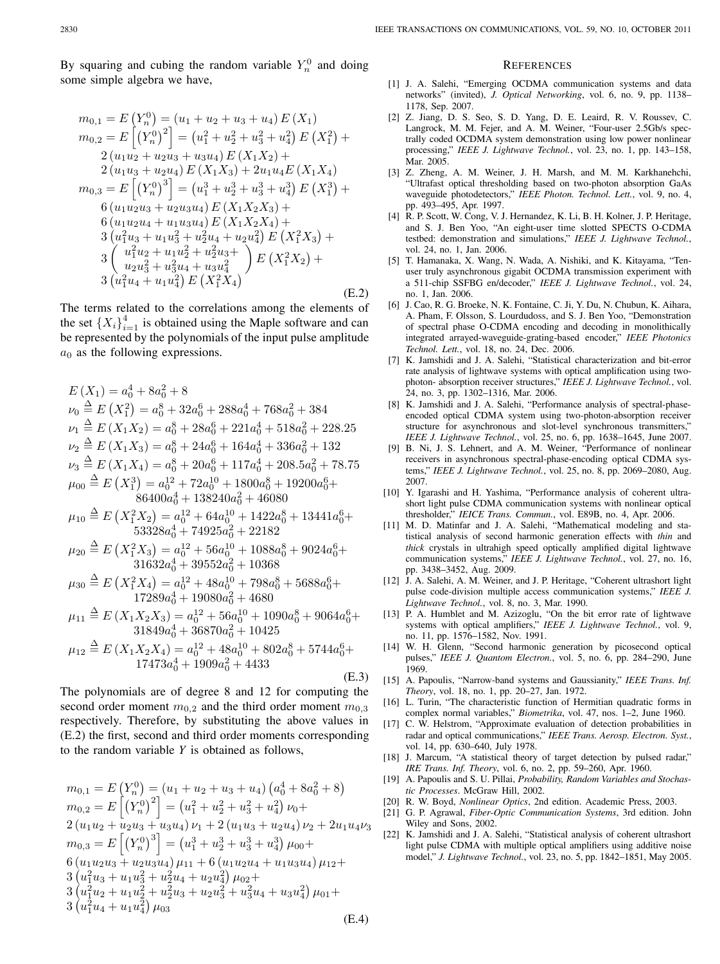By squaring and cubing the random variable  $Y_n^0$  and doing some simple algebra we have,

$$
m_{0,1} = E(Y_n^0) = (u_1 + u_2 + u_3 + u_4) E(X_1)
$$
  
\n
$$
m_{0,2} = E\left[ (Y_n^0)^2 \right] = (u_1^2 + u_2^2 + u_3^2 + u_4^2) E(X_1^2) + 2(u_1u_2 + u_2u_3 + u_3u_4) E(X_1X_2) + 2(u_1u_3 + u_2u_4) E(X_1X_3) + 2u_1u_4 E(X_1X_4)
$$
  
\n
$$
m_{0,3} = E\left[ (Y_n^0)^3 \right] = (u_1^3 + u_2^3 + u_3^3 + u_4^3) E(X_1^3) + 6(u_1u_2u_3 + u_2u_3u_4) E(X_1X_2X_3) + 6(u_1u_2u_4 + u_1u_3u_4) E(X_1X_2X_4) + 3(u_1^2u_3 + u_1u_3^2 + u_2^2u_4 + u_2u_4^2) E(X_1^2X_3) + 3\left( \begin{array}{c} u_1^2u_2 + u_1u_2^2 + u_2^2u_3 + 2u_3u_4 \\ u_2u_3^2 + u_3^2u_4 + u_3u_4^2 \end{array} \right) E(X_1^2X_2) + 3(u_1^2u_4 + u_1u_4^2) E(X_1^2X_4)
$$
\n(E.2)

The terms related to the correlations among the elements of the set  ${X_i}_{i=1}^4$  is obtained using the Maple software and can be represented by the polynomials of the input pulse amplitude  $a_0$  as the following expressions.

$$
E(X_1) = a_0^4 + 8a_0^2 + 8
$$
  
\n
$$
\nu_0 \stackrel{\Delta}{=} E(X_1^2) = a_0^8 + 32a_0^6 + 288a_0^4 + 768a_0^2 + 384
$$
  
\n
$$
\nu_1 \stackrel{\Delta}{=} E(X_1X_2) = a_0^8 + 28a_0^6 + 221a_0^4 + 518a_0^2 + 228.25
$$
  
\n
$$
\nu_2 \stackrel{\Delta}{=} E(X_1X_3) = a_0^8 + 24a_0^6 + 164a_0^4 + 336a_0^2 + 132
$$
  
\n
$$
\nu_3 \stackrel{\Delta}{=} E(X_1X_4) = a_0^8 + 20a_0^6 + 117a_0^4 + 208.5a_0^2 + 78.75
$$
  
\n
$$
\mu_{00} \stackrel{\Delta}{=} E(X_1^3) = a_0^{12} + 72a_0^{10} + 1800a_0^8 + 19200a_0^6 + 86400a_0^4 + 138240a_0^2 + 46080
$$

$$
\mu_{10} \stackrel{\Delta}{=} E\left(X_1^2 X_2\right) = a_0^{12} + 64a_0^{10} + 1422a_0^8 + 13441a_0^6 + 53328a_0^4 + 74925a_0^2 + 22182
$$

$$
\mu_{20} \stackrel{\Delta}{=} E\left(X_1^2 X_3\right) = a_0^{12} + 56a_0^{10} + 1088a_0^8 + 9024a_0^6 + 31632a_0^4 + 39552a_0^2 + 10368
$$

$$
\mu_{30} \stackrel{\Delta}{=} E\left(X_1^2 X_4\right) = a_0^{12} + 48a_0^{10} + 798a_0^8 + 5688a_0^6 + 17289a_0^4 + 19080a_0^2 + 4680
$$

$$
\mu_{11} \stackrel{\Delta}{=} E\left(X_1 X_2 X_3\right) = a_0^{12} + 56a_0^{10} + 1090a_0^8 + 9064a_0^6 + 31849a_0^4 + 36870a_0^2 + 10425
$$

$$
\mu_{12} \stackrel{\Delta}{=} E\left(X_1 X_2 X_4\right) = a_0^{12} + 48a_0^{10} + 802a_0^8 + 5744a_0^6 + 17473a_0^4 + 1909a_0^2 + 4433
$$
\n(E.3)

The polynomials are of degree 8 and 12 for computing the second order moment  $m_{0,2}$  and the third order moment  $m_{0,3}$ respectively. Therefore, by substituting the above values in (E.2) the first, second and third order moments corresponding to the random variable *Y* is obtained as follows,

$$
m_{0,1} = E(Y_n^0) = (u_1 + u_2 + u_3 + u_4) (a_0^4 + 8a_0^2 + 8)
$$
  
\n
$$
m_{0,2} = E\left[(Y_n^0)^2\right] = (u_1^2 + u_2^2 + u_3^2 + u_4^2) \nu_0 +
$$
  
\n
$$
2 (u_1u_2 + u_2u_3 + u_3u_4) \nu_1 + 2 (u_1u_3 + u_2u_4) \nu_2 + 2u_1u_4\nu_3
$$
  
\n
$$
m_{0,3} = E\left[(Y_n^0)^3\right] = (u_1^3 + u_2^3 + u_3^3 + u_4^3) \mu_{00} +
$$
  
\n
$$
6 (u_1u_2u_3 + u_2u_3u_4) \mu_{11} + 6 (u_1u_2u_4 + u_1u_3u_4) \mu_{12} +
$$
  
\n
$$
3 (u_1^2u_3 + u_1u_3^2 + u_2^2u_4 + u_2u_4^2) \mu_{02} +
$$
  
\n
$$
3 (u_1^2u_2 + u_1u_2^2 + u_2^2u_3 + u_2u_3^2 + u_3^2u_4 + u_3u_4^2) \mu_{01} +
$$
  
\n
$$
3 (u_1^2u_4 + u_1u_4^2) \mu_{03}
$$

#### **REFERENCES**

- [1] J. A. Salehi, "Emerging OCDMA communication systems and data networks" (invited), *J. Optical Networking*, vol. 6, no. 9, pp. 1138– 1178, Sep. 2007.
- [2] Z. Jiang, D. S. Seo, S. D. Yang, D. E. Leaird, R. V. Roussev, C. Langrock, M. M. Fejer, and A. M. Weiner, "Four-user 2.5Gb/s spectrally coded OCDMA system demonstration using low power nonlinear processing," *IEEE J. Lightwave Technol.*, vol. 23, no. 1, pp. 143–158, Mar. 2005.
- [3] Z. Zheng, A. M. Weiner, J. H. Marsh, and M. M. Karkhanehchi, "Ultrafast optical thresholding based on two-photon absorption GaAs waveguide photodetectors," *IEEE Photon. Technol. Lett.*, vol. 9, no. 4, pp. 493–495, Apr. 1997.
- [4] R. P. Scott, W. Cong, V. J. Hernandez, K. Li, B. H. Kolner, J. P. Heritage, and S. J. Ben Yoo, "An eight-user time slotted SPECTS O-CDMA testbed: demonstration and simulations," *IEEE J. Lightwave Technol.*, vol. 24, no. 1, Jan. 2006.
- [5] T. Hamanaka, X. Wang, N. Wada, A. Nishiki, and K. Kitayama, "Tenuser truly asynchronous gigabit OCDMA transmission experiment with a 511-chip SSFBG en/decoder," *IEEE J. Lightwave Technol.*, vol. 24, no. 1, Jan. 2006.
- [6] J. Cao, R. G. Broeke, N. K. Fontaine, C. Ji, Y. Du, N. Chubun, K. Aihara, A. Pham, F. Olsson, S. Lourdudoss, and S. J. Ben Yoo, "Demonstration of spectral phase O-CDMA encoding and decoding in monolithically integrated arrayed-waveguide-grating-based encoder," *IEEE Photonics Technol. Lett.*, vol. 18, no. 24, Dec. 2006.
- [7] K. Jamshidi and J. A. Salehi, "Statistical characterization and bit-error rate analysis of lightwave systems with optical amplification using twophoton- absorption receiver structures," *IEEE J. Lightwave Technol.*, vol. 24, no. 3, pp. 1302–1316, Mar. 2006.
- [8] K. Jamshidi and J. A. Salehi, "Performance analysis of spectral-phaseencoded optical CDMA system using two-photon-absorption receiver structure for asynchronous and slot-level synchronous transmitters," *IEEE J. Lightwave Technol.*, vol. 25, no. 6, pp. 1638–1645, June 2007.
- [9] B. Ni, J. S. Lehnert, and A. M. Weiner, "Performance of nonlinear receivers in asynchronous spectral-phase-encoding optical CDMA systems," *IEEE J. Lightwave Technol.*, vol. 25, no. 8, pp. 2069–2080, Aug. 2007.
- [10] Y. Igarashi and H. Yashima, "Performance analysis of coherent ultrashort light pulse CDMA communication systems with nonlinear optical thresholder," *IEICE Trans. Commun.*, vol. E89B, no. 4, Apr. 2006.
- [11] M. D. Matinfar and J. A. Salehi, "Mathematical modeling and statistical analysis of second harmonic generation effects with *thin* and *thick* crystals in ultrahigh speed optically amplified digital lightwave communication systems," *IEEE J. Lightwave Technol.*, vol. 27, no. 16, pp. 3438–3452, Aug. 2009.
- [12] J. A. Salehi, A. M. Weiner, and J. P. Heritage, "Coherent ultrashort light pulse code-division multiple access communication systems," *IEEE J. Lightwave Technol.*, vol. 8, no. 3, Mar. 1990.
- [13] P. A. Humblet and M. Azizoglu, "On the bit error rate of lightwave systems with optical amplifiers," *IEEE J. Lightwave Technol.*, vol. 9, no. 11, pp. 1576–1582, Nov. 1991.
- [14] W. H. Glenn, "Second harmonic generation by picosecond optical pulses," *IEEE J. Quantom Electron.*, vol. 5, no. 6, pp. 284–290, June 1969.
- [15] A. Papoulis, "Narrow-band systems and Gaussianity," *IEEE Trans. Inf. Theory*, vol. 18, no. 1, pp. 20–27, Jan. 1972.
- [16] L. Turin, "The characteristic function of Hermitian quadratic forms in complex normal variables," *Biometrika*, vol. 47, nos. 1–2, June 1960.
- [17] C. W. Helstrom, "Approximate evaluation of detection probabilities in radar and optical communications," *IEEE Trans. Aerosp. Electron. Syst.*, vol. 14, pp. 630–640, July 1978.
- [18] J. Marcum, "A statistical theory of target detection by pulsed radar," *IRE Trans. Inf. Theory*, vol. 6, no. 2, pp. 59–260, Apr. 1960.
- [19] A. Papoulis and S. U. Pillai, *Probability, Random Variables and Stochastic Processes*. McGraw Hill, 2002.
- [20] R. W. Boyd, *Nonlinear Optics*, 2nd edition. Academic Press, 2003.
- [21] G. P. Agrawal, *Fiber-Optic Communication Systems*, 3rd edition. John Wiley and Sons, 2002.
- [22] K. Jamshidi and J. A. Salehi, "Statistical analysis of coherent ultrashort light pulse CDMA with multiple optical amplifiers using additive noise model," *J. Lightwave Technol.*, vol. 23, no. 5, pp. 1842–1851, May 2005.